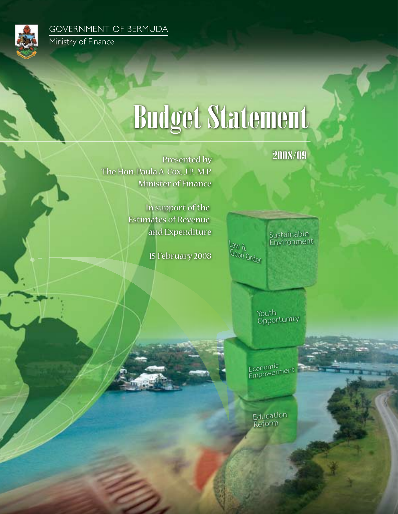

**GOVERNMENT OF BERMUDA** Ministry of Finance

# Budget Statement

2008/09

 Presented by The Hon. Paula A. Cox, J.P., M.P. Minister of Finance

> In support of the Estimates of Revenue and Expenditure

> > 15 February 2008

 $B$  W<sub>5</sub>. Good Order Sustainable Environment

> Youth **Opportunity**

Economic<br>Empowerment

Education Reform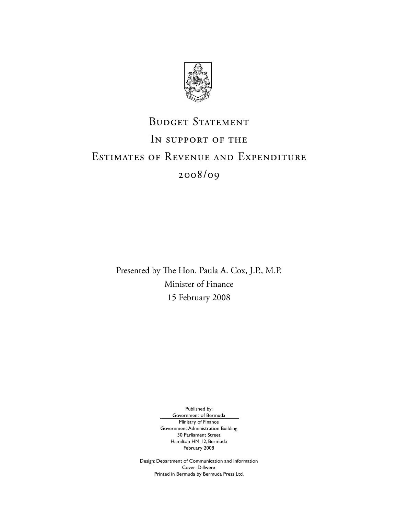

## BUDGET STATEMENT IN SUPPORT OF THE Estimates of Revenue and Expenditure 2008/09

Presented by The Hon. Paula A. Cox, J.P., M.P. Minister of Finance 15 February 2008

Published by:

Government of Bermuda Ministry of Finance Government Administration Building 30 Parliament Street Hamilton HM 12, Bermuda February 2008

Design: Department of Communication and Information Cover: Dillwerx Printed in Bermuda by Bermuda Press Ltd.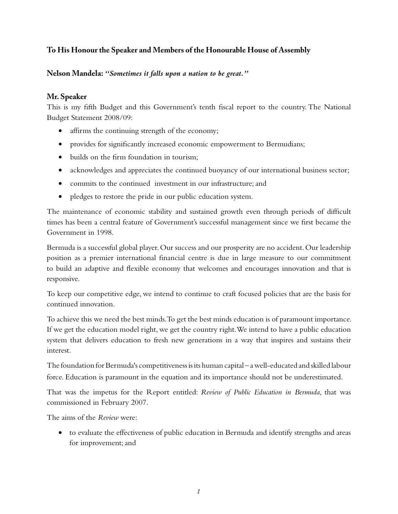#### **To His Honour the Speaker and Members of the Honourable House of Assembly**

**Nelson Mandela:** *"Sometimes it falls upon a nation to be great."*

#### **Mr. Speaker**

This is my fifth Budget and this Government's tenth fiscal report to the country. The National Budget Statement 2008/09:

- affirms the continuing strength of the economy;
- provides for significantly increased economic empowerment to Bermudians;
- builds on the firm foundation in tourism;
- acknowledges and appreciates the continued buoyancy of our international business sector;
- commits to the continued investment in our infrastructure; and
- pledges to restore the pride in our public education system.

The maintenance of economic stability and sustained growth even through periods of difficult times has been a central feature of Government's successful management since we first became the Government in 1998.

Bermuda is a successful global player. Our success and our prosperity are no accident. Our leadership position as a premier international financial centre is due in large measure to our commitment to build an adaptive and flexible economy that welcomes and encourages innovation and that is responsive.

To keep our competitive edge, we intend to continue to craft focused policies that are the basis for continued innovation.

To achieve this we need the best minds. To get the best minds education is of paramount importance. If we get the education model right, we get the country right. We intend to have a public education system that delivers education to fresh new generations in a way that inspires and sustains their interest.

The foundation for Bermuda's competitiveness is its human capital – a well-educated and skilled labour force. Education is paramount in the equation and its importance should not be underestimated.

That was the impetus for the Report entitled: *Review of Public Education in Bermuda*, that was commissioned in February 2007.

The aims of the *Review* were:

• to evaluate the effectiveness of public education in Bermuda and identify strengths and areas for improvement; and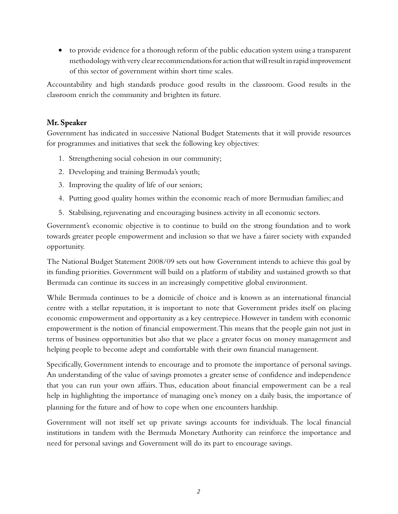• to provide evidence for a thorough reform of the public education system using a transparent methodology with very clear recommendations for action that will result in rapid improvement of this sector of government within short time scales.

Accountability and high standards produce good results in the classroom. Good results in the classroom enrich the community and brighten its future.

#### **Mr. Speaker**

Government has indicated in successive National Budget Statements that it will provide resources for programmes and initiatives that seek the following key objectives:

- 1. Strengthening social cohesion in our community;
- 2. Developing and training Bermuda's youth;
- 3. Improving the quality of life of our seniors;
- 4. Putting good quality homes within the economic reach of more Bermudian families; and
- 5. Stabilising, rejuvenating and encouraging business activity in all economic sectors.

Government's economic objective is to continue to build on the strong foundation and to work towards greater people empowerment and inclusion so that we have a fairer society with expanded opportunity.

The National Budget Statement 2008/09 sets out how Government intends to achieve this goal by its funding priorities. Government will build on a platform of stability and sustained growth so that Bermuda can continue its success in an increasingly competitive global environment.

While Bermuda continues to be a domicile of choice and is known as an international financial centre with a stellar reputation, it is important to note that Government prides itself on placing economic empowerment and opportunity as a key centrepiece. However in tandem with economic empowerment is the notion of financial empowerment. This means that the people gain not just in terms of business opportunities but also that we place a greater focus on money management and helping people to become adept and comfortable with their own financial management.

Specifically, Government intends to encourage and to promote the importance of personal savings. An understanding of the value of savings promotes a greater sense of confidence and independence that you can run your own affairs. Thus, education about financial empowerment can be a real help in highlighting the importance of managing one's money on a daily basis, the importance of planning for the future and of how to cope when one encounters hardship.

Government will not itself set up private savings accounts for individuals. The local financial institutions in tandem with the Bermuda Monetary Authority can reinforce the importance and need for personal savings and Government will do its part to encourage savings.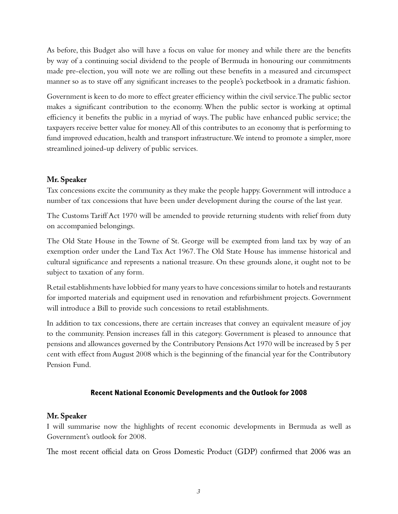As before, this Budget also will have a focus on value for money and while there are the benefits by way of a continuing social dividend to the people of Bermuda in honouring our commitments made pre-election, you will note we are rolling out these benefits in a measured and circumspect manner so as to stave off any significant increases to the people's pocketbook in a dramatic fashion.

Government is keen to do more to effect greater efficiency within the civil service. The public sector makes a significant contribution to the economy. When the public sector is working at optimal efficiency it benefits the public in a myriad of ways. The public have enhanced public service; the taxpayers receive better value for money. All of this contributes to an economy that is performing to fund improved education, health and transport infrastructure. We intend to promote a simpler, more streamlined joined-up delivery of public services.

#### **Mr. Speaker**

Tax concessions excite the community as they make the people happy. Government will introduce a number of tax concessions that have been under development during the course of the last year.

The Customs Tariff Act 1970 will be amended to provide returning students with relief from duty on accompanied belongings.

The Old State House in the Towne of St. George will be exempted from land tax by way of an exemption order under the Land Tax Act 1967. The Old State House has immense historical and cultural significance and represents a national treasure. On these grounds alone, it ought not to be subject to taxation of any form.

Retail establishments have lobbied for many years to have concessions similar to hotels and restaurants for imported materials and equipment used in renovation and refurbishment projects. Government will introduce a Bill to provide such concessions to retail establishments.

In addition to tax concessions, there are certain increases that convey an equivalent measure of joy to the community. Pension increases fall in this category. Government is pleased to announce that pensions and allowances governed by the Contributory Pensions Act 1970 will be increased by 5 per cent with effect from August 2008 which is the beginning of the financial year for the Contributory Pension Fund.

#### **Recent National Economic Developments and the Outlook for 2008**

#### **Mr. Speaker**

I will summarise now the highlights of recent economic developments in Bermuda as well as Government's outlook for 2008.

The most recent official data on Gross Domestic Product (GDP) confirmed that 2006 was an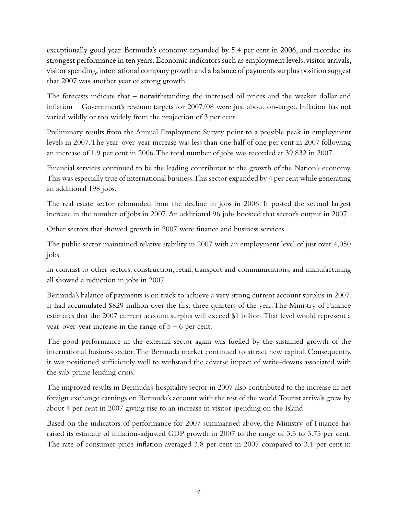exceptionally good year. Bermuda's economy expanded by 5.4 per cent in 2006, and recorded its strongest performance in ten years. Economic indicators such as employment levels, visitor arrivals, visitor spending, international company growth and a balance of payments surplus position suggest that 2007 was another year of strong growth.

The forecasts indicate that – notwithstanding the increased oil prices and the weaker dollar and inflation – Government's revenue targets for 2007/08 were just about on-target. Inflation has not varied wildly or too widely from the projection of 3 per cent.

Preliminary results from the Annual Employment Survey point to a possible peak in employment levels in 2007. The year-over-year increase was less than one half of one per cent in 2007 following an increase of 1.9 per cent in 2006. The total number of jobs was recorded at 39,832 in 2007.

Financial services continued to be the leading contributor to the growth of the Nation's economy. This was especially true of international business. This sector expanded by 4 per cent while generating an additional 198 jobs.

The real estate sector rebounded from the decline in jobs in 2006. It posted the second largest increase in the number of jobs in 2007. An additional 96 jobs boosted that sector's output in 2007.

Other sectors that showed growth in 2007 were finance and business services.

The public sector maintained relative stability in 2007 with an employment level of just over 4,050 jobs.

In contrast to other sectors, construction, retail, transport and communications, and manufacturing all showed a reduction in jobs in 2007.

Bermuda's balance of payments is on track to achieve a very strong current account surplus in 2007. It had accumulated \$829 million over the first three quarters of the year. The Ministry of Finance estimates that the 2007 current account surplus will exceed \$1 billion. That level would represent a year-over-year increase in the range of  $5 - 6$  per cent.

The good performance in the external sector again was fuelled by the sustained growth of the international business sector. The Bermuda market continued to attract new capital. Consequently, it was positioned sufficiently well to withstand the adverse impact of write-downs associated with the sub-prime lending crisis.

The improved results in Bermuda's hospitality sector in 2007 also contributed to the increase in net foreign exchange earnings on Bermuda's account with the rest of the world. Tourist arrivals grew by about 4 per cent in 2007 giving rise to an increase in visitor spending on the Island.

Based on the indicators of performance for 2007 summarised above, the Ministry of Finance has raised its estimate of inflation-adjusted GDP growth in 2007 to the range of 3.5 to 3.75 per cent. The rate of consumer price inflation averaged 3.8 per cent in 2007 compared to 3.1 per cent in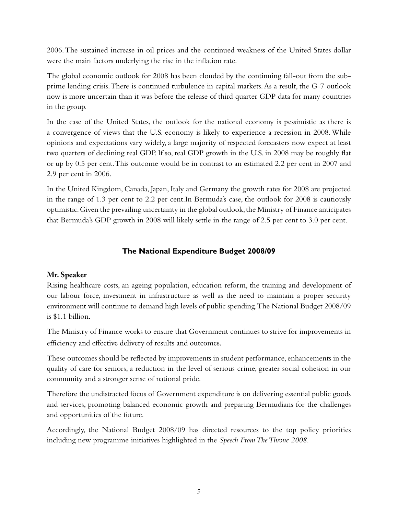2006. The sustained increase in oil prices and the continued weakness of the United States dollar were the main factors underlying the rise in the inflation rate.

The global economic outlook for 2008 has been clouded by the continuing fall-out from the subprime lending crisis. There is continued turbulence in capital markets. As a result, the G-7 outlook now is more uncertain than it was before the release of third quarter GDP data for many countries in the group.

In the case of the United States, the outlook for the national economy is pessimistic as there is a convergence of views that the U.S. economy is likely to experience a recession in 2008. While opinions and expectations vary widely, a large majority of respected forecasters now expect at least two quarters of declining real GDP. If so, real GDP growth in the U.S. in 2008 may be roughly flat or up by 0.5 per cent. This outcome would be in contrast to an estimated 2.2 per cent in 2007 and 2.9 per cent in 2006.

In the United Kingdom, Canada, Japan, Italy and Germany the growth rates for 2008 are projected in the range of 1.3 per cent to 2.2 per cent.In Bermuda's case, the outlook for 2008 is cautiously optimistic. Given the prevailing uncertainty in the global outlook, the Ministry of Finance anticipates that Bermuda's GDP growth in 2008 will likely settle in the range of 2.5 per cent to 3.0 per cent.

#### **The National Expenditure Budget 2008/09**

#### **Mr. Speaker**

Rising healthcare costs, an ageing population, education reform, the training and development of our labour force, investment in infrastructure as well as the need to maintain a proper security environment will continue to demand high levels of public spending. The National Budget 2008/09 is \$1.1 billion.

The Ministry of Finance works to ensure that Government continues to strive for improvements in efficiency and effective delivery of results and outcomes.

These outcomes should be reflected by improvements in student performance, enhancements in the quality of care for seniors, a reduction in the level of serious crime, greater social cohesion in our community and a stronger sense of national pride.

Therefore the undistracted focus of Government expenditure is on delivering essential public goods and services, promoting balanced economic growth and preparing Bermudians for the challenges and opportunities of the future.

Accordingly, the National Budget 2008/09 has directed resources to the top policy priorities including new programme initiatives highlighted in the *Speech From The Throne 2008.*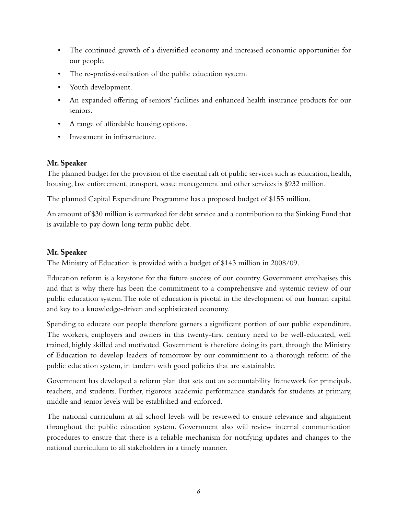- The continued growth of a diversified economy and increased economic opportunities for our people.
- The re-professionalisation of the public education system.
- Youth development.
- An expanded offering of seniors' facilities and enhanced health insurance products for our seniors.
- A range of affordable housing options.
- Investment in infrastructure.

#### **Mr. Speaker**

The planned budget for the provision of the essential raft of public services such as education, health, housing, law enforcement, transport, waste management and other services is \$932 million.

The planned Capital Expenditure Programme has a proposed budget of \$155 million.

An amount of \$30 million is earmarked for debt service and a contribution to the Sinking Fund that is available to pay down long term public debt.

#### **Mr. Speaker**

The Ministry of Education is provided with a budget of \$143 million in 2008/09.

Education reform is a keystone for the future success of our country. Government emphasises this and that is why there has been the commitment to a comprehensive and systemic review of our public education system. The role of education is pivotal in the development of our human capital and key to a knowledge-driven and sophisticated economy.

Spending to educate our people therefore garners a significant portion of our public expenditure. The workers, employers and owners in this twenty-first century need to be well-educated, well trained, highly skilled and motivated. Government is therefore doing its part, through the Ministry of Education to develop leaders of tomorrow by our commitment to a thorough reform of the public education system, in tandem with good policies that are sustainable.

Government has developed a reform plan that sets out an accountability framework for principals, teachers, and students. Further, rigorous academic performance standards for students at primary, middle and senior levels will be established and enforced.

The national curriculum at all school levels will be reviewed to ensure relevance and alignment throughout the public education system. Government also will review internal communication procedures to ensure that there is a reliable mechanism for notifying updates and changes to the national curriculum to all stakeholders in a timely manner.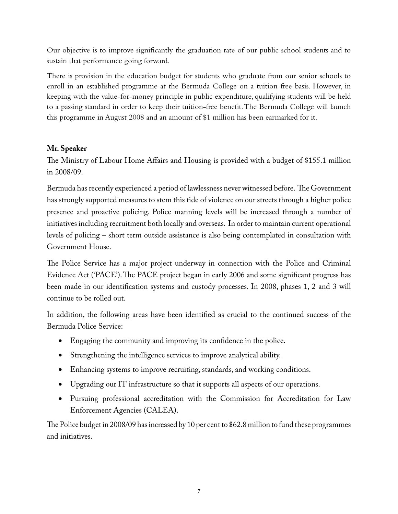Our objective is to improve significantly the graduation rate of our public school students and to sustain that performance going forward.

There is provision in the education budget for students who graduate from our senior schools to enroll in an established programme at the Bermuda College on a tuition-free basis. However, in keeping with the value-for-money principle in public expenditure, qualifying students will be held to a passing standard in order to keep their tuition-free benefit. The Bermuda College will launch this programme in August 2008 and an amount of \$1 million has been earmarked for it.

#### **Mr. Speaker**

The Ministry of Labour Home Affairs and Housing is provided with a budget of \$155.1 million in 2008/09.

Bermuda has recently experienced a period of lawlessness never witnessed before. The Government has strongly supported measures to stem this tide of violence on our streets through a higher police presence and proactive policing. Police manning levels will be increased through a number of initiatives including recruitment both locally and overseas. In order to maintain current operational levels of policing – short term outside assistance is also being contemplated in consultation with Government House.

The Police Service has a major project underway in connection with the Police and Criminal Evidence Act ('PACE'). The PACE project began in early 2006 and some significant progress has been made in our identification systems and custody processes. In 2008, phases 1, 2 and 3 will continue to be rolled out.

In addition, the following areas have been identified as crucial to the continued success of the Bermuda Police Service:

- Engaging the community and improving its confidence in the police.
- • Strengthening the intelligence services to improve analytical ability.
- Enhancing systems to improve recruiting, standards, and working conditions.
- Upgrading our IT infrastructure so that it supports all aspects of our operations.
- Pursuing professional accreditation with the Commission for Accreditation for Law Enforcement Agencies (CALEA).

The Police budget in 2008/09 has increased by 10 per cent to \$62.8 million to fund these programmes and initiatives.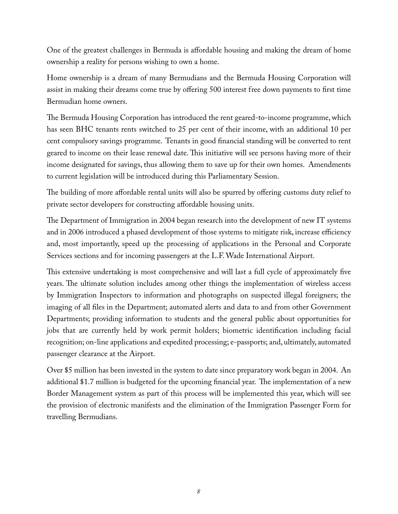One of the greatest challenges in Bermuda is affordable housing and making the dream of home ownership a reality for persons wishing to own a home.

Home ownership is a dream of many Bermudians and the Bermuda Housing Corporation will assist in making their dreams come true by offering 500 interest free down payments to first time Bermudian home owners.

The Bermuda Housing Corporation has introduced the rent geared-to-income programme, which has seen BHC tenants rents switched to 25 per cent of their income, with an additional 10 per cent compulsory savings programme. Tenants in good financial standing will be converted to rent geared to income on their lease renewal date. This initiative will see persons having more of their income designated for savings, thus allowing them to save up for their own homes. Amendments to current legislation will be introduced during this Parliamentary Session.

The building of more affordable rental units will also be spurred by offering customs duty relief to private sector developers for constructing affordable housing units.

The Department of Immigration in 2004 began research into the development of new IT systems and in 2006 introduced a phased development of those systems to mitigate risk, increase efficiency and, most importantly, speed up the processing of applications in the Personal and Corporate Services sections and for incoming passengers at the L.F. Wade International Airport.

This extensive undertaking is most comprehensive and will last a full cycle of approximately five years. The ultimate solution includes among other things the implementation of wireless access by Immigration Inspectors to information and photographs on suspected illegal foreigners; the imaging of all files in the Department; automated alerts and data to and from other Government Departments; providing information to students and the general public about opportunities for jobs that are currently held by work permit holders; biometric identification including facial recognition; on-line applications and expedited processing; e-passports; and, ultimately, automated passenger clearance at the Airport.

Over \$5 million has been invested in the system to date since preparatory work began in 2004. An additional \$1.7 million is budgeted for the upcoming financial year. The implementation of a new Border Management system as part of this process will be implemented this year, which will see the provision of electronic manifests and the elimination of the Immigration Passenger Form for travelling Bermudians.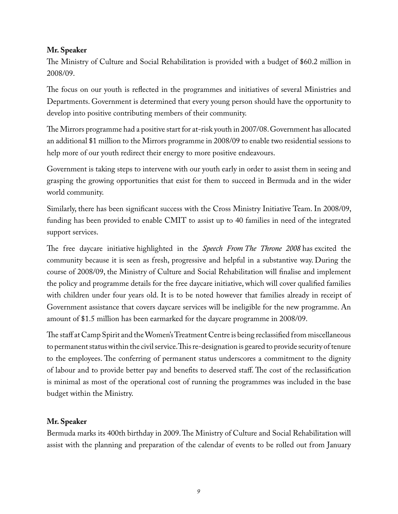#### **Mr. Speaker**

The Ministry of Culture and Social Rehabilitation is provided with a budget of \$60.2 million in 2008/09.

The focus on our youth is reflected in the programmes and initiatives of several Ministries and Departments. Government is determined that every young person should have the opportunity to develop into positive contributing members of their community.

The Mirrors programme had a positive start for at-risk youth in 2007/08. Government has allocated an additional \$1 million to the Mirrors programme in 2008/09 to enable two residential sessions to help more of our youth redirect their energy to more positive endeavours.

Government is taking steps to intervene with our youth early in order to assist them in seeing and grasping the growing opportunities that exist for them to succeed in Bermuda and in the wider world community.

Similarly, there has been significant success with the Cross Ministry Initiative Team. In 2008/09, funding has been provided to enable CMIT to assist up to 40 families in need of the integrated support services.

The free daycare initiative highlighted in the *Speech From The Throne 2008* has excited the community because it is seen as fresh, progressive and helpful in a substantive way. During the course of 2008/09, the Ministry of Culture and Social Rehabilitation will finalise and implement the policy and programme details for the free daycare initiative, which will cover qualified families with children under four years old. It is to be noted however that families already in receipt of Government assistance that covers daycare services will be ineligible for the new programme. An amount of \$1.5 million has been earmarked for the daycare programme in 2008/09.

The staff at Camp Spirit and the Women's Treatment Centre is being reclassified from miscellaneous to permanent status within the civil service. This re-designation is geared to provide security of tenure to the employees. The conferring of permanent status underscores a commitment to the dignity of labour and to provide better pay and benefits to deserved staff. The cost of the reclassification is minimal as most of the operational cost of running the programmes was included in the base budget within the Ministry.

#### **Mr. Speaker**

Bermuda marks its 400th birthday in 2009. The Ministry of Culture and Social Rehabilitation will assist with the planning and preparation of the calendar of events to be rolled out from January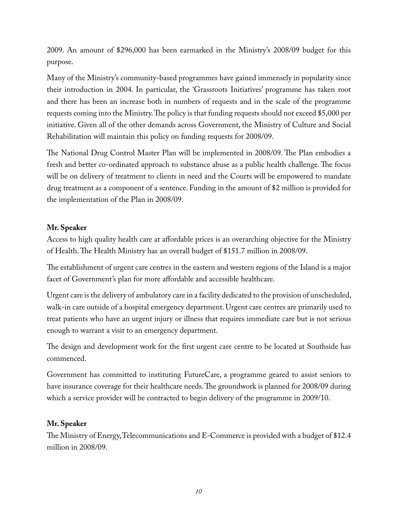2009. An amount of \$296,000 has been earmarked in the Ministry's 2008/09 budget for this purpose.

Many of the Ministry's community-based programmes have gained immensely in popularity since their introduction in 2004. In particular, the 'Grassroots Initiatives' programme has taken root and there has been an increase both in numbers of requests and in the scale of the programme requests coming into the Ministry. The policy is that funding requests should not exceed \$5,000 per initiative. Given all of the other demands across Government, the Ministry of Culture and Social Rehabilitation will maintain this policy on funding requests for 2008/09.

The National Drug Control Master Plan will be implemented in 2008/09. The Plan embodies a fresh and better co-ordinated approach to substance abuse as a public health challenge. The focus will be on delivery of treatment to clients in need and the Courts will be empowered to mandate drug treatment as a component of a sentence. Funding in the amount of \$2 million is provided for the implementation of the Plan in 2008/09.

#### **Mr. Speaker**

Access to high quality health care at affordable prices is an overarching objective for the Ministry of Health. The Health Ministry has an overall budget of \$151.7 million in 2008/09.

The establishment of urgent care centres in the eastern and western regions of the Island is a major facet of Government's plan for more affordable and accessible healthcare.

Urgent care is the delivery of ambulatory care in a facility dedicated to the provision of unscheduled, walk-in care outside of a hospital emergency department. Urgent care centres are primarily used to treat patients who have an urgent injury or illness that requires immediate care but is not serious enough to warrant a visit to an emergency department.

The design and development work for the first urgent care centre to be located at Southside has commenced.

Government has committed to instituting FutureCare, a programme geared to assist seniors to have insurance coverage for their healthcare needs. The groundwork is planned for 2008/09 during which a service provider will be contracted to begin delivery of the programme in 2009/10.

#### **Mr. Speaker**

The Ministry of Energy, Telecommunications and E-Commerce is provided with a budget of \$12.4 million in 2008/09.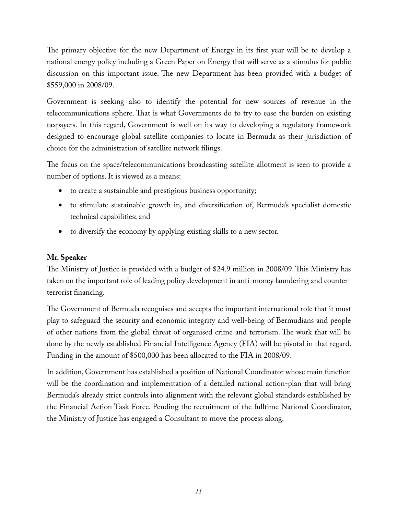The primary objective for the new Department of Energy in its first year will be to develop a national energy policy including a Green Paper on Energy that will serve as a stimulus for public discussion on this important issue. The new Department has been provided with a budget of \$559,000 in 2008/09.

Government is seeking also to identify the potential for new sources of revenue in the telecommunications sphere. That is what Governments do to try to ease the burden on existing taxpayers. In this regard, Government is well on its way to developing a regulatory framework designed to encourage global satellite companies to locate in Bermuda as their jurisdiction of choice for the administration of satellite network filings.

The focus on the space/telecommunications broadcasting satellite allotment is seen to provide a number of options. It is viewed as a means:

- • to create a sustainable and prestigious business opportunity;
- to stimulate sustainable growth in, and diversification of, Bermuda's specialist domestic technical capabilities; and
- to diversify the economy by applying existing skills to a new sector.

#### **Mr. Speaker**

The Ministry of Justice is provided with a budget of \$24.9 million in 2008/09. This Ministry has taken on the important role of leading policy development in anti-money laundering and counterterrorist financing.

The Government of Bermuda recognises and accepts the important international role that it must play to safeguard the security and economic integrity and well-being of Bermudians and people of other nations from the global threat of organised crime and terrorism. The work that will be done by the newly established Financial Intelligence Agency (FIA) will be pivotal in that regard. Funding in the amount of \$500,000 has been allocated to the FIA in 2008/09.

In addition, Government has established a position of National Coordinator whose main function will be the coordination and implementation of a detailed national action-plan that will bring Bermuda's already strict controls into alignment with the relevant global standards established by the Financial Action Task Force. Pending the recruitment of the fulltime National Coordinator, the Ministry of Justice has engaged a Consultant to move the process along.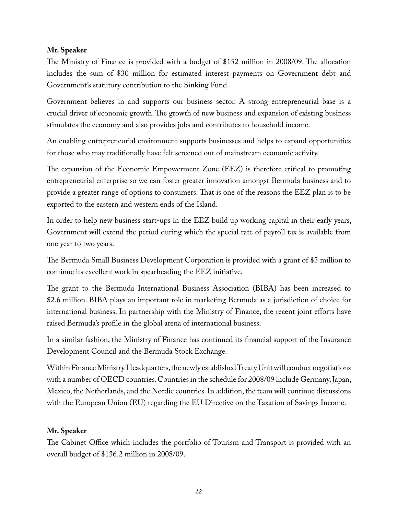#### **Mr. Speaker**

The Ministry of Finance is provided with a budget of \$152 million in 2008/09. The allocation includes the sum of \$30 million for estimated interest payments on Government debt and Government's statutory contribution to the Sinking Fund.

Government believes in and supports our business sector. A strong entrepreneurial base is a crucial driver of economic growth. The growth of new business and expansion of existing business stimulates the economy and also provides jobs and contributes to household income.

An enabling entrepreneurial environment supports businesses and helps to expand opportunities for those who may traditionally have felt screened out of mainstream economic activity.

The expansion of the Economic Empowerment Zone (EEZ) is therefore critical to promoting entrepreneurial enterprise so we can foster greater innovation amongst Bermuda business and to provide a greater range of options to consumers. That is one of the reasons the EEZ plan is to be exported to the eastern and western ends of the Island.

In order to help new business start-ups in the EEZ build up working capital in their early years, Government will extend the period during which the special rate of payroll tax is available from one year to two years.

The Bermuda Small Business Development Corporation is provided with a grant of \$3 million to continue its excellent work in spearheading the EEZ initiative.

The grant to the Bermuda International Business Association (BIBA) has been increased to \$2.6 million. BIBA plays an important role in marketing Bermuda as a jurisdiction of choice for international business. In partnership with the Ministry of Finance, the recent joint efforts have raised Bermuda's profile in the global arena of international business.

In a similar fashion, the Ministry of Finance has continued its financial support of the Insurance Development Council and the Bermuda Stock Exchange.

Within Finance Ministry Headquarters, the newly established Treaty Unit will conduct negotiations with a number of OECD countries. Countries in the schedule for 2008/09 include Germany, Japan, Mexico, the Netherlands, and the Nordic countries. In addition, the team will continue discussions with the European Union (EU) regarding the EU Directive on the Taxation of Savings Income.

#### **Mr. Speaker**

The Cabinet Office which includes the portfolio of Tourism and Transport is provided with an overall budget of \$136.2 million in 2008/09.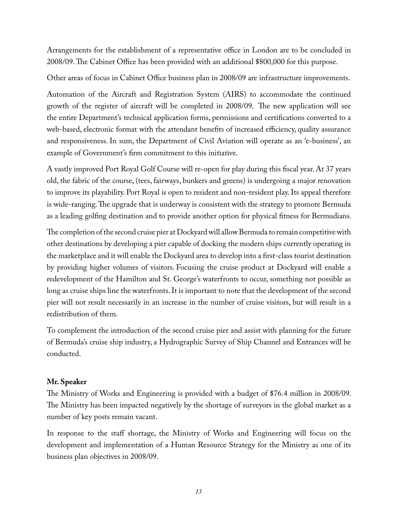Arrangements for the establishment of a representative office in London are to be concluded in 2008/09. The Cabinet Office has been provided with an additional \$800,000 for this purpose.

Other areas of focus in Cabinet Office business plan in 2008/09 are infrastructure improvements.

Automation of the Aircraft and Registration System (AIRS) to accommodate the continued growth of the register of aircraft will be completed in 2008/09. The new application will see the entire Department's technical application forms, permissions and certifications converted to a web-based, electronic format with the attendant benefits of increased efficiency, quality assurance and responsiveness.In sum, the Department of Civil Aviation will operate as an 'e-business', an example of Government's firm commitment to this initiative.

A vastly improved Port Royal Golf Course will re-open for play during this fiscal year. At 37 years old, the fabric of the course, (tees, fairways, bunkers and greens) is undergoing a major renovation to improve its playability. Port Royal is open to resident and non-resident play. Its appeal therefore is wide-ranging. The upgrade that is underway is consistent with the strategy to promote Bermuda as a leading golfing destination and to provide another option for physical fitness for Bermudians.

The completion of the second cruise pier at Dockyard will allow Bermuda to remain competitive with other destinations by developing a pier capable of docking the modern ships currently operating in the marketplace and it will enable the Dockyard area to develop into a first-class tourist destination by providing higher volumes of visitors. Focusing the cruise product at Dockyard will enable a redevelopment of the Hamilton and St. George's waterfronts to occur, something not possible as long as cruise ships line the waterfronts. It is important to note that the development of the second pier will not result necessarily in an increase in the number of cruise visitors, but will result in a redistribution of them.

To complement the introduction of the second cruise pier and assist with planning for the future of Bermuda's cruise ship industry, a Hydrographic Survey of Ship Channel and Entrances will be conducted.

#### **Mr. Speaker**

The Ministry of Works and Engineering is provided with a budget of \$76.4 million in 2008/09. The Ministry has been impacted negatively by the shortage of surveyors in the global market as a number of key posts remain vacant.

In response to the staff shortage, the Ministry of Works and Engineering will focus on the development and implementation of a Human Resource Strategy for the Ministry as one of its business plan objectives in 2008/09.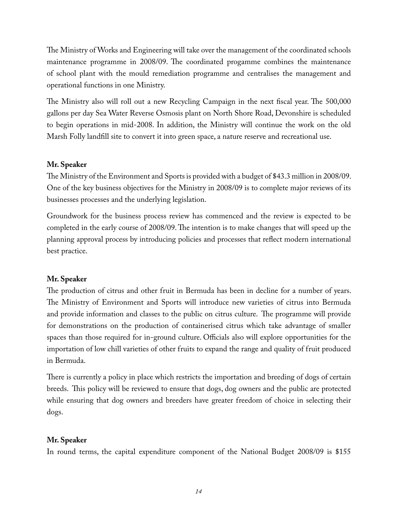The Ministry of Works and Engineering will take over the management of the coordinated schools maintenance programme in 2008/09. The coordinated progamme combines the maintenance of school plant with the mould remediation programme and centralises the management and operational functions in one Ministry.

The Ministry also will roll out a new Recycling Campaign in the next fiscal year. The 500,000 gallons per day Sea Water Reverse Osmosis plant on North Shore Road, Devonshire is scheduled to begin operations in mid-2008. In addition, the Ministry will continue the work on the old Marsh Folly landfill site to convert it into green space, a nature reserve and recreational use.

#### **Mr. Speaker**

The Ministry of the Environment and Sports is provided with a budget of \$43.3 million in 2008/09. One of the key business objectives for the Ministry in 2008/09 is to complete major reviews of its businesses processes and the underlying legislation.

Groundwork for the business process review has commenced and the review is expected to be completed in the early course of 2008/09. The intention is to make changes that will speed up the planning approval process by introducing policies and processes that reflect modern international best practice.

#### **Mr. Speaker**

The production of citrus and other fruit in Bermuda has been in decline for a number of years. The Ministry of Environment and Sports will introduce new varieties of citrus into Bermuda and provide information and classes to the public on citrus culture. The programme will provide for demonstrations on the production of containerised citrus which take advantage of smaller spaces than those required for in-ground culture. Officials also will explore opportunities for the importation of low chill varieties of other fruits to expand the range and quality of fruit produced in Bermuda.

There is currently a policy in place which restricts the importation and breeding of dogs of certain breeds. This policy will be reviewed to ensure that dogs, dog owners and the public are protected while ensuring that dog owners and breeders have greater freedom of choice in selecting their dogs.

#### **Mr. Speaker**

In round terms, the capital expenditure component of the National Budget 2008/09 is \$155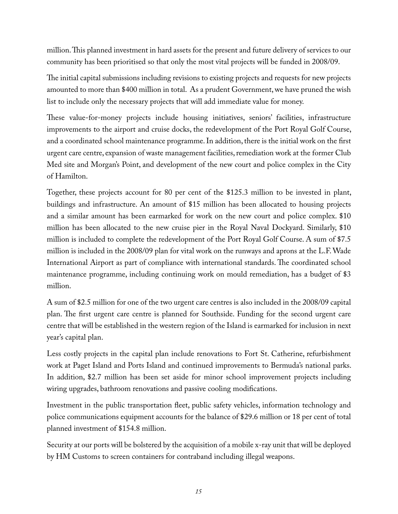million. This planned investment in hard assets for the present and future delivery of services to our community has been prioritised so that only the most vital projects will be funded in 2008/09.

The initial capital submissions including revisions to existing projects and requests for new projects amounted to more than \$400 million in total. As a prudent Government, we have pruned the wish list to include only the necessary projects that will add immediate value for money.

These value-for-money projects include housing initiatives, seniors' facilities, infrastructure improvements to the airport and cruise docks, the redevelopment of the Port Royal Golf Course, and a coordinated school maintenance programme. In addition, there is the initial work on the first urgent care centre, expansion of waste management facilities, remediation work at the former Club Med site and Morgan's Point, and development of the new court and police complex in the City of Hamilton.

Together, these projects account for 80 per cent of the \$125.3 million to be invested in plant, buildings and infrastructure. An amount of \$15 million has been allocated to housing projects and a similar amount has been earmarked for work on the new court and police complex. \$10 million has been allocated to the new cruise pier in the Royal Naval Dockyard. Similarly, \$10 million is included to complete the redevelopment of the Port Royal Golf Course. A sum of \$7.5 million is included in the 2008/09 plan for vital work on the runways and aprons at the L.F. Wade International Airport as part of compliance with international standards. The coordinated school maintenance programme, including continuing work on mould remediation, has a budget of \$3 million.

A sum of \$2.5 million for one of the two urgent care centres is also included in the 2008/09 capital plan. The first urgent care centre is planned for Southside. Funding for the second urgent care centre that will be established in the western region of the Island is earmarked for inclusion in next year's capital plan.

Less costly projects in the capital plan include renovations to Fort St. Catherine, refurbishment work at Paget Island and Ports Island and continued improvements to Bermuda's national parks. In addition, \$2.7 million has been set aside for minor school improvement projects including wiring upgrades, bathroom renovations and passive cooling modifications.

Investment in the public transportation fleet, public safety vehicles, information technology and police communications equipment accounts for the balance of \$29.6 million or 18 per cent of total planned investment of \$154.8 million.

Security at our ports will be bolstered by the acquisition of a mobile x-ray unit that will be deployed by HM Customs to screen containers for contraband including illegal weapons.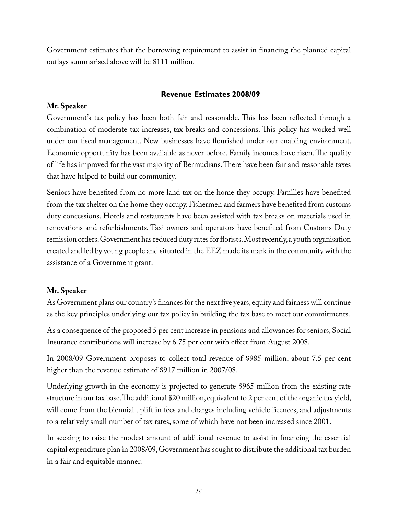Government estimates that the borrowing requirement to assist in financing the planned capital outlays summarised above will be \$111 million.

#### **Revenue Estimates 2008/09**

#### **Mr. Speaker**

Government's tax policy has been both fair and reasonable. This has been reflected through a combination of moderate tax increases, tax breaks and concessions. This policy has worked well under our fiscal management. New businesses have flourished under our enabling environment. Economic opportunity has been available as never before. Family incomes have risen. The quality of life has improved for the vast majority of Bermudians. There have been fair and reasonable taxes that have helped to build our community.

Seniors have benefited from no more land tax on the home they occupy. Families have benefited from the tax shelter on the home they occupy. Fishermen and farmers have benefited from customs duty concessions. Hotels and restaurants have been assisted with tax breaks on materials used in renovations and refurbishments. Taxi owners and operators have benefited from Customs Duty remission orders. Government has reduced duty rates for florists. Most recently, a youth organisation created and led by young people and situated in the EEZ made its mark in the community with the assistance of a Government grant.

#### **Mr. Speaker**

As Government plans our country's finances for the next five years, equity and fairness will continue as the key principles underlying our tax policy in building the tax base to meet our commitments.

As a consequence of the proposed 5 per cent increase in pensions and allowances for seniors, Social Insurance contributions will increase by 6.75 per cent with effect from August 2008.

In 2008/09 Government proposes to collect total revenue of \$985 million, about 7.5 per cent higher than the revenue estimate of \$917 million in 2007/08.

Underlying growth in the economy is projected to generate \$965 million from the existing rate structure in our tax base. The additional \$20 million, equivalent to 2 per cent of the organic tax yield, will come from the biennial uplift in fees and charges including vehicle licences, and adjustments to a relatively small number of tax rates, some of which have not been increased since 2001.

In seeking to raise the modest amount of additional revenue to assist in financing the essential capital expenditure plan in 2008/09, Government has sought to distribute the additional tax burden in a fair and equitable manner.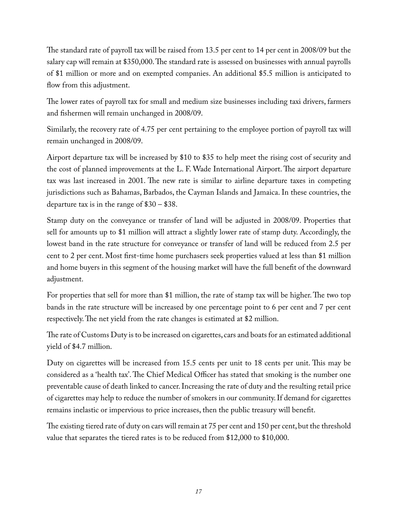The standard rate of payroll tax will be raised from 13.5 per cent to 14 per cent in 2008/09 but the salary cap will remain at \$350,000. The standard rate is assessed on businesses with annual payrolls of \$1 million or more and on exempted companies. An additional \$5.5 million is anticipated to flow from this adjustment.

The lower rates of payroll tax for small and medium size businesses including taxi drivers, farmers and fishermen will remain unchanged in 2008/09.

Similarly, the recovery rate of 4.75 per cent pertaining to the employee portion of payroll tax will remain unchanged in 2008/09.

Airport departure tax will be increased by \$10 to \$35 to help meet the rising cost of security and the cost of planned improvements at the L. F. Wade International Airport. The airport departure tax was last increased in 2001. The new rate is similar to airline departure taxes in competing jurisdictions such as Bahamas, Barbados, the Cayman Islands and Jamaica. In these countries, the departure tax is in the range of \$30 – \$38.

Stamp duty on the conveyance or transfer of land will be adjusted in 2008/09. Properties that sell for amounts up to \$1 million will attract a slightly lower rate of stamp duty. Accordingly, the lowest band in the rate structure for conveyance or transfer of land will be reduced from 2.5 per cent to 2 per cent. Most first-time home purchasers seek properties valued at less than \$1 million and home buyers in this segment of the housing market will have the full benefit of the downward adjustment.

For properties that sell for more than \$1 million, the rate of stamp tax will be higher. The two top bands in the rate structure will be increased by one percentage point to 6 per cent and 7 per cent respectively. The net yield from the rate changes is estimated at \$2 million.

The rate of Customs Duty is to be increased on cigarettes, cars and boats for an estimated additional yield of \$4.7 million.

Duty on cigarettes will be increased from 15.5 cents per unit to 18 cents per unit. This may be considered as a 'health tax'. The Chief Medical Officer has stated that smoking is the number one preventable cause of death linked to cancer. Increasing the rate of duty and the resulting retail price of cigarettes may help to reduce the number of smokers in our community. If demand for cigarettes remains inelastic or impervious to price increases, then the public treasury will benefit.

The existing tiered rate of duty on cars will remain at 75 per cent and 150 per cent, but the threshold value that separates the tiered rates is to be reduced from \$12,000 to \$10,000.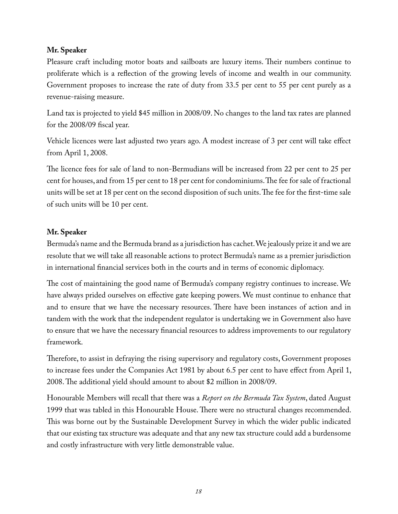#### **Mr. Speaker**

Pleasure craft including motor boats and sailboats are luxury items. Their numbers continue to proliferate which is a reflection of the growing levels of income and wealth in our community. Government proposes to increase the rate of duty from 33.5 per cent to 55 per cent purely as a revenue-raising measure.

Land tax is projected to yield \$45 million in 2008/09. No changes to the land tax rates are planned for the 2008/09 fiscal year.

Vehicle licences were last adjusted two years ago. A modest increase of 3 per cent will take effect from April 1, 2008.

The licence fees for sale of land to non-Bermudians will be increased from 22 per cent to 25 per cent for houses, and from 15 per cent to 18 per cent for condominiums. The fee for sale of fractional units will be set at 18 per cent on the second disposition of such units. The fee for the first-time sale of such units will be 10 per cent.

#### **Mr. Speaker**

Bermuda's name and the Bermuda brand as a jurisdiction has cachet. We jealously prize it and we are resolute that we will take all reasonable actions to protect Bermuda's name as a premier jurisdiction in international financial services both in the courts and in terms of economic diplomacy.

The cost of maintaining the good name of Bermuda's company registry continues to increase. We have always prided ourselves on effective gate keeping powers. We must continue to enhance that and to ensure that we have the necessary resources. There have been instances of action and in tandem with the work that the independent regulator is undertaking we in Government also have to ensure that we have the necessary financial resources to address improvements to our regulatory framework.

Therefore, to assist in defraying the rising supervisory and regulatory costs, Government proposes to increase fees under the Companies Act 1981 by about 6.5 per cent to have effect from April 1, 2008. The additional yield should amount to about \$2 million in 2008/09.

Honourable Members will recall that there was a *Report on the Bermuda Tax System*, dated August 1999 that was tabled in this Honourable House. There were no structural changes recommended. This was borne out by the Sustainable Development Survey in which the wider public indicated that our existing tax structure was adequate and that any new tax structure could add a burdensome and costly infrastructure with very little demonstrable value.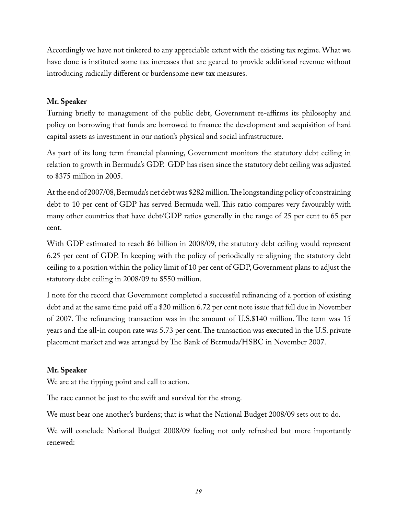Accordingly we have not tinkered to any appreciable extent with the existing tax regime. What we have done is instituted some tax increases that are geared to provide additional revenue without introducing radically different or burdensome new tax measures.

#### **Mr. Speaker**

Turning briefly to management of the public debt, Government re-affirms its philosophy and policy on borrowing that funds are borrowed to finance the development and acquisition of hard capital assets as investment in our nation's physical and social infrastructure.

As part of its long term financial planning, Government monitors the statutory debt ceiling in relation to growth in Bermuda's GDP. GDP has risen since the statutory debt ceiling was adjusted to \$375 million in 2005.

At the end of 2007/08, Bermuda's net debt was \$282 million. The longstanding policy of constraining debt to 10 per cent of GDP has served Bermuda well. This ratio compares very favourably with many other countries that have debt/GDP ratios generally in the range of 25 per cent to 65 per cent.

With GDP estimated to reach \$6 billion in 2008/09, the statutory debt ceiling would represent 6.25 per cent of GDP. In keeping with the policy of periodically re-aligning the statutory debt ceiling to a position within the policy limit of 10 per cent of GDP, Government plans to adjust the statutory debt ceiling in 2008/09 to \$550 million.

I note for the record that Government completed a successful refinancing of a portion of existing debt and at the same time paid off a \$20 million 6.72 per cent note issue that fell due in November of 2007. The refinancing transaction was in the amount of U.S.\$140 million. The term was 15 years and the all-in coupon rate was 5.73 per cent. The transaction was executed in the U.S. private placement market and was arranged by The Bank of Bermuda/HSBC in November 2007.

#### **Mr. Speaker**

We are at the tipping point and call to action.

The race cannot be just to the swift and survival for the strong.

We must bear one another's burdens; that is what the National Budget 2008/09 sets out to do.

We will conclude National Budget 2008/09 feeling not only refreshed but more importantly renewed: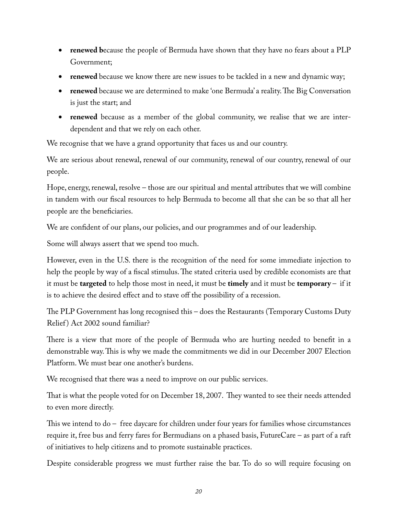- **renewed because the people of Bermuda have shown that they have no fears about a PLP** Government;
- **renewed** because we know there are new issues to be tackled in a new and dynamic way;
- **renewed** because we are determined to make 'one Bermuda' a reality. The Big Conversation is just the start; and
- **renewed** because as a member of the global community, we realise that we are interdependent and that we rely on each other.

We recognise that we have a grand opportunity that faces us and our country.

We are serious about renewal, renewal of our community, renewal of our country, renewal of our people.

Hope, energy, renewal, resolve – those are our spiritual and mental attributes that we will combine in tandem with our fiscal resources to help Bermuda to become all that she can be so that all her people are the beneficiaries.

We are confident of our plans, our policies, and our programmes and of our leadership.

Some will always assert that we spend too much.

However, even in the U.S. there is the recognition of the need for some immediate injection to help the people by way of a fiscal stimulus. The stated criteria used by credible economists are that it must be **targeted** to help those most in need, it must be **timely** and it must be **temporary** – if it is to achieve the desired effect and to stave off the possibility of a recession.

The PLP Government has long recognised this – does the Restaurants (Temporary Customs Duty Relief) Act 2002 sound familiar?

There is a view that more of the people of Bermuda who are hurting needed to benefit in a demonstrable way. This is why we made the commitments we did in our December 2007 Election Platform. We must bear one another's burdens.

We recognised that there was a need to improve on our public services.

That is what the people voted for on December 18, 2007. They wanted to see their needs attended to even more directly.

This we intend to do – free daycare for children under four years for families whose circumstances require it, free bus and ferry fares for Bermudians on a phased basis, FutureCare – as part of a raft of initiatives to help citizens and to promote sustainable practices.

Despite considerable progress we must further raise the bar. To do so will require focusing on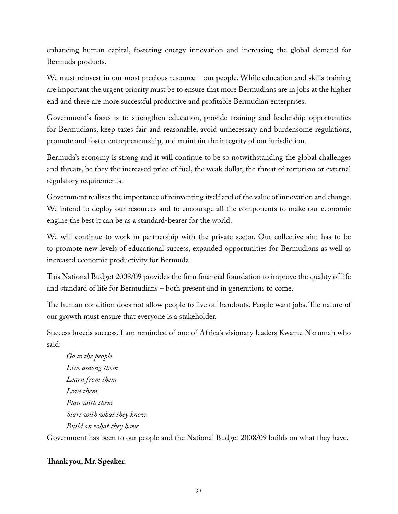enhancing human capital, fostering energy innovation and increasing the global demand for Bermuda products.

We must reinvest in our most precious resource – our people. While education and skills training are important the urgent priority must be to ensure that more Bermudians are in jobs at the higher end and there are more successful productive and profitable Bermudian enterprises.

Government's focus is to strengthen education, provide training and leadership opportunities for Bermudians, keep taxes fair and reasonable, avoid unnecessary and burdensome regulations, promote and foster entrepreneurship, and maintain the integrity of our jurisdiction.

Bermuda's economy is strong and it will continue to be so notwithstanding the global challenges and threats, be they the increased price of fuel, the weak dollar, the threat of terrorism or external regulatory requirements.

Government realises the importance of reinventing itself and of the value of innovation and change. We intend to deploy our resources and to encourage all the components to make our economic engine the best it can be as a standard-bearer for the world.

We will continue to work in partnership with the private sector. Our collective aim has to be to promote new levels of educational success, expanded opportunities for Bermudians as well as increased economic productivity for Bermuda.

This National Budget 2008/09 provides the firm financial foundation to improve the quality of life and standard of life for Bermudians – both present and in generations to come.

The human condition does not allow people to live off handouts. People want jobs. The nature of our growth must ensure that everyone is a stakeholder.

Success breeds success. I am reminded of one of Africa's visionary leaders Kwame Nkrumah who said:

*Go to the people Live among them Learn from them Love them Plan with them Start with what they know Build on what they have.* Government has been to our people and the National Budget 2008/09 builds on what they have.

#### **Thank you, Mr. Speaker.**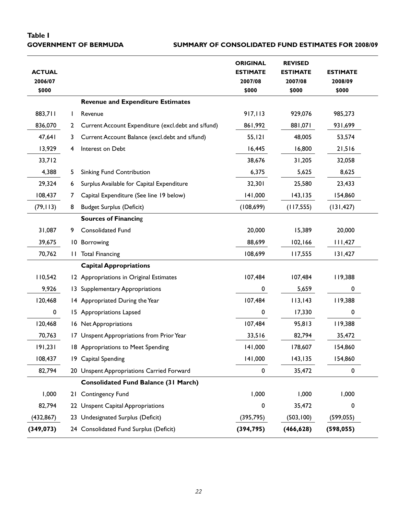# **Table I**

#### **GOVERNMENT OF BERMUDA SUMMARY OF CONSOLIDATED FUND ESTIMATES FOR 2008/09**

| <b>ACTUAL</b><br>2006/07<br>\$000 |                |                                                    | <b>ORIGINAL</b><br><b>ESTIMATE</b><br>2007/08<br>\$000 | <b>REVISED</b><br><b>ESTIMATE</b><br>2007/08<br>\$000 | <b>ESTIMATE</b><br>2008/09<br>\$000 |
|-----------------------------------|----------------|----------------------------------------------------|--------------------------------------------------------|-------------------------------------------------------|-------------------------------------|
|                                   |                | <b>Revenue and Expenditure Estimates</b>           |                                                        |                                                       |                                     |
| 883,711                           | $\mathbf{L}$   | Revenue                                            | 917,113                                                | 929,076                                               | 985,273                             |
| 836,070                           | $\overline{2}$ | Current Account Expenditure (excl.debt and s/fund) | 861,992                                                | 150,188                                               | 931,699                             |
| 47,641                            | 3              | Current Account Balance (excl.debt and s/fund)     | 55, 121                                                | 48,005                                                | 53,574                              |
| 13,929                            | 4              | Interest on Debt                                   | 16,445                                                 | 16,800                                                | 21,516                              |
| 33,712                            |                |                                                    | 38,676                                                 | 31,205                                                | 32,058                              |
| 4,388                             | 5              | <b>Sinking Fund Contribution</b>                   | 6,375                                                  | 5,625                                                 | 8,625                               |
| 29,324                            | 6              | Surplus Available for Capital Expenditure          | 32,301                                                 | 25,580                                                | 23,433                              |
| 108,437                           | 7              | Capital Expenditure (See line 19 below)            | 141,000                                                | 143, 135                                              | 154,860                             |
| (79, 113)                         | 8              | <b>Budget Surplus (Deficit)</b>                    | (108, 699)                                             | (117, 555)                                            | (131, 427)                          |
|                                   |                | <b>Sources of Financing</b>                        |                                                        |                                                       |                                     |
| 31,087                            | 9              | Consolidated Fund                                  | 20,000                                                 | 15,389                                                | 20,000                              |
| 39,675                            |                | 10 Borrowing                                       | 88,699                                                 | 102, 166                                              | 111,427                             |
| 70,762                            | H.             | <b>Total Financing</b>                             | 108,699                                                | 117,555                                               | 131,427                             |
|                                   |                | <b>Capital Appropriations</b>                      |                                                        |                                                       |                                     |
| 110,542                           |                | 12 Appropriations in Original Estimates            | 107,484                                                | 107,484                                               | 119,388                             |
| 9,926                             |                | 13 Supplementary Appropriations                    | 0                                                      | 5,659                                                 | 0                                   |
| 120,468                           |                | 14 Appropriated During the Year                    | 107,484                                                | 113,143                                               | 119,388                             |
| 0                                 |                | 15 Appropriations Lapsed                           | 0                                                      | 17,330                                                | 0                                   |
| 120,468                           |                | 16 Net Appropriations                              | 107,484                                                | 95,813                                                | 119,388                             |
| 70,763                            |                | 17 Unspent Appropriations from Prior Year          | 33,516                                                 | 82,794                                                | 35,472                              |
| 191,231                           |                | 18 Appropriations to Meet Spending                 | 141,000                                                | 178,607                                               | 154,860                             |
| 108,437                           |                | 19 Capital Spending                                | 141,000                                                | 143, 135                                              | 154,860                             |
| 82,794                            |                | 20 Unspent Appropriations Carried Forward          | 0                                                      | 35,472                                                | 0                                   |
|                                   |                | <b>Consolidated Fund Balance (31 March)</b>        |                                                        |                                                       |                                     |
| 1,000                             |                | 21 Contingency Fund                                | 1,000                                                  | 1,000                                                 | 1,000                               |
| 82,794                            |                | 22 Unspent Capital Appropriations                  | 0                                                      | 35,472                                                | 0                                   |
| (432, 867)                        |                | 23 Undesignated Surplus (Deficit)                  | (395, 795)                                             | (503, 100)                                            | (599, 055)                          |
| (349, 073)                        |                | 24 Consolidated Fund Surplus (Deficit)             | (394, 795)                                             | (466, 628)                                            | (598, 055)                          |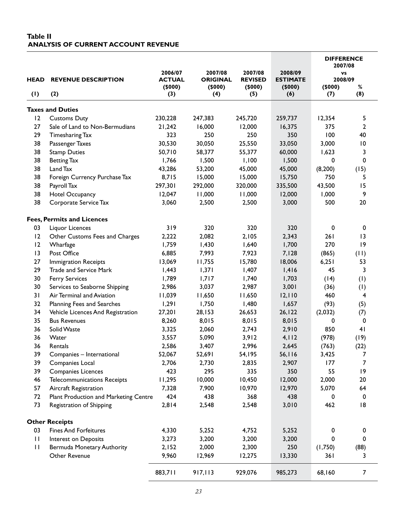#### **Table II ANALYSIS OF CURRENT ACCOUNT REVENUE**

|              |                                       |                                    |                                      |                                     |                                      | <b>DIFFERENCE</b><br>2007/08 |                 |
|--------------|---------------------------------------|------------------------------------|--------------------------------------|-------------------------------------|--------------------------------------|------------------------------|-----------------|
| <b>HEAD</b>  | <b>REVENUE DESCRIPTION</b>            | 2006/07<br><b>ACTUAL</b><br>(5000) | 2007/08<br><b>ORIGINAL</b><br>(5000) | 2007/08<br><b>REVISED</b><br>(5000) | 2008/09<br><b>ESTIMATE</b><br>(5000) | VS<br>2008/09<br>(5000)      | %               |
| (1)          | (2)                                   | (3)                                | (4)                                  | (5)                                 | (6)                                  | (7)                          | (8)             |
|              | <b>Taxes and Duties</b>               |                                    |                                      |                                     |                                      |                              |                 |
| 12           | <b>Customs Duty</b>                   | 230,228                            | 247,383                              | 245,720                             | 259,737                              | 12,354                       | 5               |
| 27           | Sale of Land to Non-Bermudians        | 21,242                             | 16,000                               | 12,000                              | 16,375                               | 375                          | $\mathbf{2}$    |
| 29           | Timesharing Tax                       | 323                                | 250                                  | 250                                 | 350                                  | 100                          | 40              |
| 38           | Passenger Taxes                       | 30,530                             | 30,050                               | 25,550                              | 33,050                               | 3,000                        | $\overline{10}$ |
| 38           | <b>Stamp Duties</b>                   | 50,710                             | 58,377                               | 55,377                              | 60,000                               | 1,623                        | 3               |
| 38           | <b>Betting Tax</b>                    | 1,766                              | 1,500                                | 1,100                               | 1,500                                | 0                            | $\pmb{0}$       |
| 38           | Land Tax                              | 43,286                             | 53,200                               | 45,000                              | 45,000                               | (8, 200)                     | (15)            |
| 38           | Foreign Currency Purchase Tax         | 8,715                              | 15,000                               | 15,000                              | 15,750                               | 750                          | 5               |
| 38           | Payroll Tax                           | 297,301                            | 292,000                              | 320,000                             | 335,500                              | 43,500                       | 15              |
| 38           | Hotel Occupancy                       | 12,047                             | 11,000                               | 11,000                              | 12,000                               | 1,000                        | 9               |
| 38           | Corporate Service Tax                 | 3,060                              | 2,500                                | 2,500                               | 3,000                                | 500                          | 20              |
|              | <b>Fees, Permits and Licences</b>     |                                    |                                      |                                     |                                      |                              |                 |
| 03           | Liquor Licences                       | 319                                | 320                                  | 320                                 | 320                                  | $\pmb{0}$                    | 0               |
| 12           | Other Customs Fees and Charges        | 2,222                              | 2,082                                | 2,105                               | 2,343                                | 261                          | 13              |
| 12           | Wharfage                              | 1,759                              | 1,430                                | 1,640                               | 1,700                                | 270                          | 9               |
| 13           | Post Office                           | 6,885                              | 7,993                                | 7,923                               | 7,128                                | (865)                        | (11)            |
| 27           | <b>Immigration Receipts</b>           | 13,069                             | 11,755                               | 15,780                              | 18,006                               | 6,251                        | 53              |
| 29           | Trade and Service Mark                | 1,443                              | 1,371                                | 1,407                               | 1,416                                | 45                           | 3               |
| 30           | <b>Ferry Services</b>                 | 1,789                              | 1,717                                | 1,740                               | 1,703                                | (14)                         | (1)             |
| 30           | Services to Seaborne Shipping         | 2,986                              | 3,037                                | 2,987                               | 3,001                                | (36)                         | (1)             |
| 31           | Air Terminal and Aviation             | 11,039                             | 11,650                               | 11,650                              | 12,110                               | 460                          | $\overline{4}$  |
| 32           | Planning Fees and Searches            | 1,291                              | 1,750                                | I,480                               | 1,657                                | (93)                         | (5)             |
| 34           | Vehicle Licences And Registration     | 27,201                             | 28,153                               | 26,653                              | 26, 122                              | (2,032)                      | (7)             |
| 35           | <b>Bus Revenues</b>                   | 8,260                              | 8,015                                | 8,015                               | 8,015                                | 0                            | $\mathbf 0$     |
| 36           | Solid Waste                           | 3,325                              | 2,060                                | 2,743                               | 2,910                                | 850                          | 41              |
| 36           | Water                                 | 3,557                              | 5,090                                | 3,912                               | 4,112                                | (978)                        | (19)            |
| 36           | Rentals                               | 2,586                              | 3,407                                | 2,996                               | 2,645                                | (763)                        | (22)            |
| 39           | Companies - International             | 52,067                             | 52,691                               | 54,195                              | 56, 116                              | 3,425                        | 7               |
| 39           | Companies Local                       | 2,706                              | 2,730                                | 2,835                               | 2,907                                | 177                          | $\overline{7}$  |
| 39           | <b>Companies Licences</b>             | 423                                | 295                                  | 335                                 | 350                                  | 55                           | 9               |
| 46           | <b>Telecommunications Receipts</b>    | 11,295                             | 10,000                               | 10,450                              | 12,000                               | 2,000                        | 20              |
| 57           | Aircraft Registration                 | 7,328                              | 7,900                                | 10,970                              | 12,970                               | 5,070                        | 64              |
| 72           | Plant Production and Marketing Centre | 424                                | 438                                  | 368                                 | 438                                  | 0                            | $\mathbf 0$     |
| 73           | Registration of Shipping              | 2,814                              | 2,548                                | 2,548                               | 3,010                                | 462                          | 8               |
|              | <b>Other Receipts</b>                 |                                    |                                      |                                     |                                      |                              |                 |
| 03           | <b>Fines And Forfeitures</b>          | 4,330                              | 5,252                                | 4,752                               | 5,252                                | 0                            | 0               |
| $\mathbf{H}$ | Interest on Deposits                  | 3,273                              | 3,200                                | 3,200                               | 3,200                                | 0                            | 0               |
| $\mathbf{H}$ | Bermuda Monetary Authority            | 2,152                              | 2,000                                | 2,300                               | 250                                  | (1,750)                      | (88)            |
|              | Other Revenue                         | 9,960                              | 12,969                               | 12,275                              | 13,330                               | 361                          | 3               |
|              |                                       | 883,711                            | 917,113                              | 929,076                             | 985,273                              | 68,160                       | $\overline{7}$  |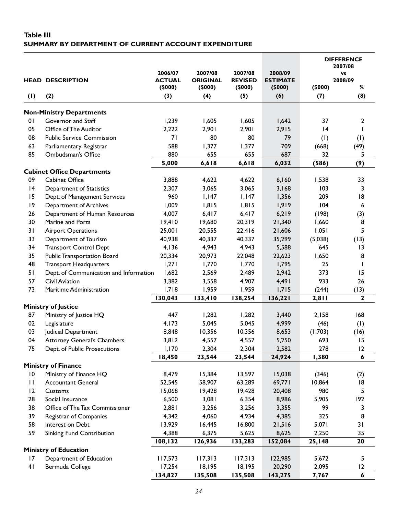#### **Table III SUMMARY BY DEPARTMENT OF CURRENT ACCOUNT EXPENDITURE**

|                 |                                        |                                    |                                      |                                     |                                      |         | <b>DIFFERENCE</b><br>2007/08 |
|-----------------|----------------------------------------|------------------------------------|--------------------------------------|-------------------------------------|--------------------------------------|---------|------------------------------|
|                 | <b>HEAD DESCRIPTION</b>                | 2006/07<br><b>ACTUAL</b><br>(5000) | 2007/08<br><b>ORIGINAL</b><br>(5000) | 2007/08<br><b>REVISED</b><br>(5000) | 2008/09<br><b>ESTIMATE</b><br>(5000) | (5000)  | <b>VS</b><br>2008/09<br>%    |
| (1)             | (2)                                    | (3)                                | (4)                                  | (5)                                 | (6)                                  | (7)     | (8)                          |
|                 | <b>Non-Ministry Departments</b>        |                                    |                                      |                                     |                                      |         |                              |
| 0 <sub>1</sub>  | Governor and Staff                     | 1,239                              | 1,605                                | 1,605                               | 1,642                                | 37      | 2                            |
| 05              | Office of The Auditor                  | 2,222                              | 2,901                                | 2,901                               | 2,915                                | 4       |                              |
| 08              | <b>Public Service Commission</b>       | 71                                 | 80                                   | 80                                  | 79                                   | (1)     | (1)                          |
| 63              | Parliamentary Registrar                | 588                                | 1,377                                | 1,377                               | 709                                  | (668)   | (49)                         |
| 85              | Ombudsman's Office                     | 880                                | 655                                  | 655                                 | 687                                  | 32      | 5                            |
|                 |                                        | 5,000                              | 6,618                                | 6,618                               | 6,032                                | (586)   | (9)                          |
|                 | <b>Cabinet Office Departments</b>      |                                    |                                      |                                     |                                      |         |                              |
| 09              | <b>Cabinet Office</b>                  | 3,888                              | 4,622                                | 4,622                               | 6,160                                | 1,538   | 33                           |
| 4               | Department of Statistics               | 2,307                              | 3,065                                | 3,065                               | 3,168                                | 103     | 3                            |
| 15              | Dept. of Management Services           | 960                                | 1,147                                | 1,147                               | 1,356                                | 209     | 8                            |
| 9               | Department of Archives                 | 1,009                              | 1,815                                | 1,815                               | 1,919                                | 104     | 6                            |
| 26              | Department of Human Resources          | 4,007                              | 6,417                                | 6,417                               | 6,219                                | (198)   | (3)                          |
| 30              | Marine and Ports                       | 19,410                             | 19,680                               | 20,319                              | 21,340                               | 1,660   | 8                            |
| 31              | <b>Airport Operations</b>              | 25,001                             | 20,555                               | 22,416                              | 21,606                               | 1,051   | 5                            |
| 33              | Department of Tourism                  | 40,938                             | 40,337                               | 40,337                              | 35,299                               | (5,038) | (13)                         |
| 34              | <b>Transport Control Dept</b>          | 4,136                              | 4,943                                | 4,943                               | 5,588                                | 645     | 13                           |
| 35              | <b>Public Transportation Board</b>     | 20,334                             | 20,973                               | 22,048                              | 22,623                               | 1,650   | 8                            |
| 48              | <b>Transport Headquarters</b>          | 1,271                              | 1,770                                | 1,770                               | 1,795                                | 25      |                              |
| 51              | Dept. of Communication and Information | 1,682                              | 2,569                                | 2,489                               | 2,942                                | 373     | 15                           |
| 57              | Civil Aviation                         | 3,382                              | 3,558                                | 4,907                               | 4,491                                | 933     | 26                           |
| 73              | Maritime Administration                | 1,718                              | 1,959                                | 1,959                               | 1,715                                | (244)   | (13)                         |
|                 |                                        | 130,043                            | 133,410                              | 138,254                             | 136,221                              | 2,811   | $\mathbf{2}$                 |
|                 | <b>Ministry of Justice</b>             |                                    |                                      |                                     |                                      |         |                              |
| 87              | Ministry of Justice HQ                 | 447                                | 1,282                                | 1,282                               | 3,440                                | 2,158   | 168                          |
| 02              | Legislature                            | 4,173                              | 5,045                                | 5,045                               | 4,999                                | (46)    | (1)                          |
| 03              | Judicial Department                    | 8,848                              | 10,356                               | 10,356                              | 8,653                                | (1,703) | (16)                         |
| 04              | <b>Attorney General's Chambers</b>     | 3,812                              | 4,557                                | 4,557                               | 5,250                                | 693     | 15                           |
| 75              | Dept. of Public Prosecutions           | I, I70                             | 2,304                                | 2,304                               | 2,582                                | 278     | $ 2\rangle$                  |
|                 |                                        | 18,450                             | 23,544                               | 23,544                              | 24,924                               | 1,380   | $\boldsymbol{6}$             |
|                 | <b>Ministry of Finance</b>             |                                    |                                      |                                     |                                      |         |                              |
| $\overline{10}$ | Ministry of Finance HQ                 | 8,479                              | 15,384                               | 13,597                              | 15,038                               | (346)   | (2)                          |
| $\mathbf{H}$    | <b>Accountant General</b>              | 52,545                             | 58,907                               | 63,289                              | 69,771                               | 10,864  | 8                            |
| 12              | Customs                                | 15,068                             | 19,428                               | 19,428                              | 20,408                               | 980     | 5                            |
| 28              | Social Insurance                       | 6,500                              | 3,081                                | 6,354                               | 8,986                                | 5,905   | 192                          |
| 38              | Office of The Tax Commissioner         | 2,881                              | 3,256                                | 3,256                               | 3,355                                | 99      | 3                            |
| 39              | Registrar of Companies                 | 4,342                              | 4,060                                | 4,934                               | 4,385                                | 325     | 8                            |
| 58              | Interest on Debt                       | 13,929                             | 16,445                               | 16,800                              | 21,516                               | 5,071   | 31                           |
| 59              | Sinking Fund Contribution              | 4,388                              | 6,375                                | 5,625                               | 8,625                                | 2,250   | 35                           |
|                 |                                        | 108,132                            | 126,936                              | 133,283                             | 152,084                              | 25,148  | 20                           |
|                 | <b>Ministry of Education</b>           |                                    |                                      |                                     |                                      |         |                              |
| 17              | Department of Education                | 117,573                            | 117,313                              | 117,313                             | 122,985                              | 5,672   | 5                            |
| 41              | Bermuda College                        | 17,254                             | 18,195                               | 18,195                              | 20,290                               | 2,095   | 12                           |
|                 |                                        | 134,827                            | 135,508                              | 135,508                             | 143,275                              | 7,767   | 6                            |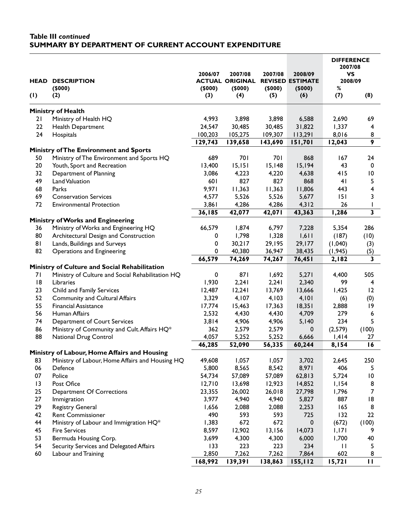#### **Table III** *continued* **SUMMARY BY DEPARTMENT OF CURRENT ACCOUNT EXPENDITURE**

| HEAD | <b>DESCRIPTION</b><br>(5000)                     | 2006/07<br>(5000) | 2007/08<br><b>ACTUAL ORIGINAL</b><br>(5000) | 2007/08<br>(5000) | 2008/09<br><b>REVISED ESTIMATE</b><br>(5000) | <b>DIFFERENCE</b><br>2007/08<br>VS<br>2008/09<br>$\%$ |                         |
|------|--------------------------------------------------|-------------------|---------------------------------------------|-------------------|----------------------------------------------|-------------------------------------------------------|-------------------------|
| (1)  | (2)                                              | (3)               | (4)                                         | (5)               | (6)                                          | (7)                                                   | (8)                     |
|      | <b>Ministry of Health</b>                        |                   |                                             |                   |                                              |                                                       |                         |
| 21   | Ministry of Health HQ                            | 4,993             | 3,898                                       | 3,898             | 6,588                                        | 2,690                                                 | 69                      |
| 22   | Health Department                                | 24,547            | 30,485                                      | 30,485            | 31,822                                       | 1,337                                                 | 4                       |
| 24   | Hospitals                                        | 100,203           | 105,275                                     | 109,307           | 113,291                                      | 8,016                                                 | 8                       |
|      |                                                  | 129,743           | 139,658                                     | 143,690           | 151,701                                      | 12,043                                                | 9                       |
|      | Ministry of The Environment and Sports           |                   |                                             |                   |                                              |                                                       |                         |
| 50   | Ministry of The Environment and Sports HQ        | 689               | 701                                         | 701               | 868                                          | 167                                                   | 24                      |
| 20   | Youth, Sport and Recreation                      | 13,400            | 15,151                                      | 15,148            | 15,194                                       | 43                                                    | $\pmb{0}$               |
| 32   | Department of Planning                           | 3,086             | 4,223                                       | 4,220             | 4,638                                        | 415                                                   | $\overline{10}$         |
| 49   | Land Valuation                                   | 601               | 827                                         | 827               | 868                                          | 41                                                    | 5                       |
| 68   | Parks                                            | 9,971             | 11,363                                      | 11,363            | 11,806                                       | 443                                                   | 4                       |
| 69   | <b>Conservation Services</b>                     | 4,577             | 5,526                                       | 5,526             | 5,677                                        | 151                                                   | 3                       |
| 72   | <b>Environmental Protection</b>                  | 3,861             | 4,286                                       | 4,286             | 4,312                                        | 26                                                    | I                       |
|      |                                                  | 36,185            | 42,077                                      | 42,071            | 43,363                                       | 1,286                                                 | $\overline{\mathbf{3}}$ |
|      | Ministry of Works and Engineering                |                   |                                             |                   |                                              |                                                       |                         |
| 36   | Ministry of Works and Engineering HQ             | 66,579            | 1,874                                       | 6,797             | 7,228                                        | 5,354                                                 | 286                     |
| 80   | Architectural Design and Construction            | 0                 | 1,798                                       | 1,328             | 1,611                                        | (187)                                                 | (10)                    |
| 81   | Lands, Buildings and Surveys                     | 0                 | 30,217                                      | 29,195            | 29,177                                       | (1,040)                                               | (3)                     |
| 82   | Operations and Engineering                       | 0                 | 40,380                                      | 36,947            | 38,435                                       | (1, 945)                                              | (5)<br>3                |
|      | Ministry of Culture and Social Rehabilitation    | 66,579            | 74,269                                      | 74,267            | 76,451                                       | 2,182                                                 |                         |
| 71   | Ministry of Culture and Social Rehabilitation HQ | 0                 | 871                                         | 1,692             | 5,271                                        | 4,400                                                 | 505                     |
| 8    | Libraries                                        | 1,930             | 2,241                                       | 2,241             | 2,340                                        | 99                                                    | 4                       |
| 23   | Child and Family Services                        | 12,487            | 12,241                                      | 13,769            | 13,666                                       | 1,425                                                 | 12                      |
| 52   | <b>Community and Cultural Affairs</b>            | 3,329             | 4,107                                       | 4,103             | 4,101                                        | (6)                                                   | (0)                     |
| 55   | <b>Financial Assistance</b>                      | 17,774            | 15,463                                      | 17,363            | 18,351                                       | 2,888                                                 | 9                       |
| 56   | Human Affairs                                    | 2,532             | 4,430                                       | 4,430             | 4,709                                        | 279                                                   | 6                       |
| 74   | Department of Court Services                     | 3,814             | 4,906                                       | 4,906             | 5,140                                        | 234                                                   | 5                       |
| 86   | Ministry of Community and Cult. Affairs HQ*      | 362               | 2,579                                       | 2,579             | 0                                            | (2,579)                                               | (100)                   |
| 88   | National Drug Control                            | 4,057             | 5,252                                       | 5,252             | 6,666                                        | 1,414                                                 | 27                      |
|      |                                                  | 46,285            | 52,090                                      | 56,335            | 60,244                                       | 8,154                                                 | 16                      |
|      | Ministry of Labour, Home Affairs and Housing     |                   |                                             |                   |                                              |                                                       |                         |
| 83   | Ministry of Labour, Home Affairs and Housing HQ  | 49,608            | 1,057                                       | 1,057             | 3,702                                        | 2,645                                                 | 250                     |
| 06   | Defence                                          | 5,800             | 8,565                                       | 8,542             | 8,971                                        | 406                                                   | 5                       |
| 07   | Police                                           | 54,734            | 57,089                                      | 57,089            | 62,813                                       | 5,724                                                 | $\overline{10}$         |
| 13   | Post Ofice                                       | 12,710            | 13,698                                      | 12,923            | 14,852                                       | 1,154                                                 | 8                       |
| 25   | Department Of Corrections                        | 23,355            | 26,002                                      | 26,018            | 27,798                                       | 1,796                                                 | $\overline{7}$          |
| 27   | Immigration                                      | 3,977             | 4,940                                       | 4,940             | 5,827                                        | 887                                                   | 8                       |
| 29   | Registry General                                 | 1,656             | 2,088                                       | 2,088             | 2,253                                        | 165                                                   | 8                       |
| 42   | Rent Commissioner                                | 490               | 593                                         | 593               | 725                                          | 132                                                   | 22                      |
| 44   | Ministry of Labour and Immigration HQ*           | 1,383             | 672                                         | 672               | 0                                            | (672)                                                 | (100)                   |
| 45   | <b>Fire Services</b>                             | 8,597             | 12,902                                      | 13,156            | 14,073                                       | 1,171                                                 | 9                       |
| 53   | Bermuda Housing Corp.                            | 3,699             | 4,300                                       | 4,300             | 6,000                                        | 1,700                                                 | 40                      |
| 54   | Security Services and Delegated Affairs          | 133               | 223                                         | 223               | 234                                          | $\mathbf{H}$                                          | 5                       |
| 60   | Labour and Training                              | 2,850             | 7,262                                       | 7,262             | 7,864                                        | 602                                                   | 8                       |
|      |                                                  | 168,992           | 139,391                                     | 138,863           | 155,112                                      | 15,721                                                | $\mathbf{H}$            |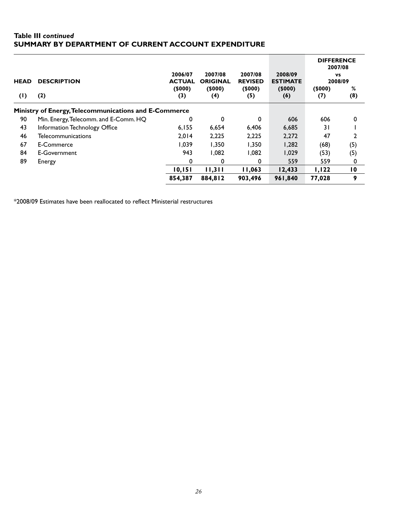#### **Table III** *continued* **SUMMARY BY DEPARTMENT OF CURRENT ACCOUNT EXPENDITURE**

| <b>HEAD</b> | <b>DESCRIPTION</b>                                    | 2006/07<br><b>ACTUAL</b> | 2007/08<br><b>ORIGINAL</b> | 2007/08<br><b>REVISED</b> | 2008/09<br><b>ESTIMATE</b> | <b>DIFFERENCE</b><br>2007/08<br><b>VS</b><br>2008/09 |                 |
|-------------|-------------------------------------------------------|--------------------------|----------------------------|---------------------------|----------------------------|------------------------------------------------------|-----------------|
|             |                                                       | (5000)                   | (5000)                     | (5000)                    | (5000)                     | (5000)                                               | %               |
| (1)         | (2)                                                   | (3)                      | (4)                        | (5)                       | (6)                        | (7)                                                  | (8)             |
|             | Ministry of Energy, Telecommunications and E-Commerce |                          |                            |                           |                            |                                                      |                 |
| 90          | Min. Energy, Telecomm. and E-Comm. HQ                 | 0                        | 0                          | 0                         | 606                        | 606                                                  | $\mathbf{0}$    |
| 43          | Information Technology Office                         | 6,155                    | 6,654                      | 6,406                     | 6,685                      | 31                                                   |                 |
| 46          | <b>Telecommunications</b>                             | 2.014                    | 2,225                      | 2,225                     | 2,272                      | 47                                                   |                 |
| 67          | E-Commerce                                            | 1.039                    | 1.350                      | 1.350                     | 1,282                      | (68)                                                 | (5)             |
| 84          | E-Government                                          | 943                      | 1.082                      | 1.082                     | 1,029                      | (53)                                                 | (5)             |
| 89          | Energy                                                | $\mathbf{0}$             | 0                          | 0                         | 559                        | 559                                                  | 0               |
|             |                                                       | 10,151                   | 11,311                     | 11,063                    | 12,433                     | 1,122                                                | $\overline{10}$ |
|             |                                                       | 854,387                  | 884,812                    | 903,496                   | 961,840                    | 77,028                                               | 9               |

\*2008/09 Estimates have been reallocated to reflect Ministerial restructures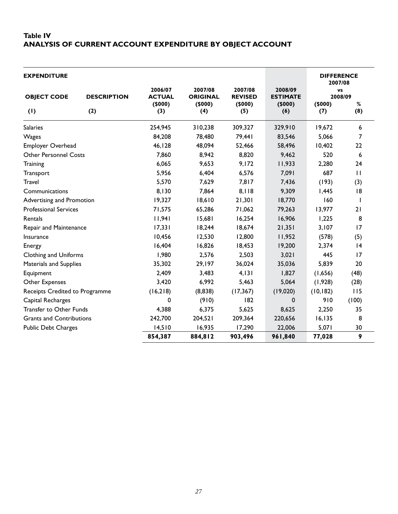#### **Table IV ANALYSIS OF CURRENT ACCOUNT EXPENDITURE BY OBJECT ACCOUNT**

| <b>EXPENDITURE</b>              |                    |                                    |                                      |                                     |                                      | <b>DIFFERENCE</b><br>2007/08 |                    |
|---------------------------------|--------------------|------------------------------------|--------------------------------------|-------------------------------------|--------------------------------------|------------------------------|--------------------|
| <b>OBJECT CODE</b>              | <b>DESCRIPTION</b> | 2006/07<br><b>ACTUAL</b><br>(5000) | 2007/08<br><b>ORIGINAL</b><br>(5000) | 2007/08<br><b>REVISED</b><br>(5000) | 2008/09<br><b>ESTIMATE</b><br>(5000) | (5000)                       | VS<br>2008/09<br>% |
| (1)                             | (2)                | (3)                                | (4)                                  | (5)                                 | (6)                                  | (7)                          | (8)                |
| <b>Salaries</b>                 |                    | 254,945                            | 310,238                              | 309,327                             | 329,910                              | 19,672                       | 6                  |
| Wages                           |                    | 84,208                             | 78,480                               | 79,441                              | 83,546                               | 5,066                        | 7                  |
| Employer Overhead               |                    | 46,128                             | 48,094                               | 52,466                              | 58,496                               | 10,402                       | 22                 |
| <b>Other Personnel Costs</b>    |                    | 7,860                              | 8,942                                | 8,820                               | 9,462                                | 520                          | 6                  |
| Training                        |                    | 6,065                              | 9,653                                | 9,172                               | 11,933                               | 2,280                        | 24                 |
| Transport                       |                    | 5,956                              | 6,404                                | 6,576                               | 7,091                                | 687                          | $\mathbf{H}$       |
| <b>Travel</b>                   |                    | 5,570                              | 7,629                                | 7,817                               | 7,436                                | (193)                        | (3)                |
| Communications                  |                    | 8,130                              | 7,864                                | 8,118                               | 9,309                                | 1,445                        | 8                  |
| Advertising and Promotion       |                    | 19,327                             | 18,610                               | 21,301                              | 18,770                               | 160                          | $\mathbf{I}$       |
| <b>Professional Services</b>    |                    | 71,575                             | 65,286                               | 71,062                              | 79,263                               | 13,977                       | 21                 |
| Rentals                         |                    | 11,941                             | 15,681                               | 16,254                              | 16,906                               | 1,225                        | 8                  |
| Repair and Maintenance          |                    | 17,331                             | 18,244                               | 18,674                              | 21,351                               | 3,107                        | 17                 |
| Insurance                       |                    | 10,456                             | 12,530                               | 12,800                              | 11,952                               | (578)                        | (5)                |
| Energy                          |                    | 16,404                             | 16,826                               | 18,453                              | 19,200                               | 2,374                        | 4                  |
| <b>Clothing and Uniforms</b>    |                    | 1,980                              | 2,576                                | 2,503                               | 3,021                                | 445                          | 17                 |
| Materials and Supplies          |                    | 35,302                             | 29,197                               | 36,024                              | 35,036                               | 5,839                        | 20                 |
| Equipment                       |                    | 2,409                              | 3,483                                | 4,131                               | 1,827                                | (1,656)                      | (48)               |
| Other Expenses                  |                    | 3,420                              | 6,992                                | 5,463                               | 5,064                                | (1, 928)                     | (28)               |
| Receipts Credited to Programme  |                    | (16,218)                           | (8,838)                              | (17, 367)                           | (19,020)                             | (10, 182)                    | 115                |
| Capital Recharges               |                    | 0                                  | (910)                                | 182                                 | 0                                    | 910                          | (100)              |
| Transfer to Other Funds         |                    | 4,388                              | 6,375                                | 5,625                               | 8,625                                | 2,250                        | 35                 |
| <b>Grants and Contributions</b> |                    | 242,700                            | 204,521                              | 209,364                             | 220,656                              | 16, 135                      | 8                  |
| <b>Public Debt Charges</b>      |                    | 14,510                             | 16,935                               | 17,290                              | 22,006                               | 5,071                        | 30                 |
|                                 |                    | 854,387                            | 884,812                              | 903,496                             | 961,840                              | 77,028                       | 9                  |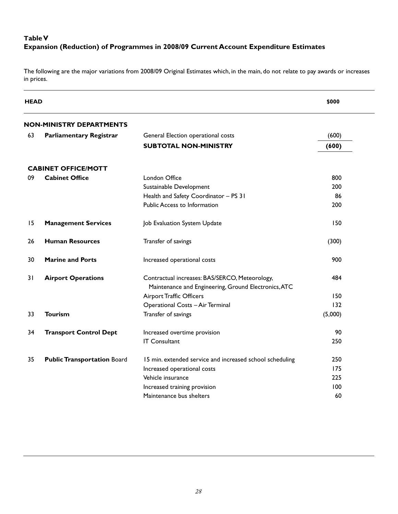#### **Table V Expansion (Reduction) of Programmes in 2008/09 Current Account Expenditure Estimates**

The following are the major variations from 2008/09 Original Estimates which, in the main, do not relate to pay awards or increases in prices.

| <b>HEAD</b> |                                    |                                                                                                        | \$000   |
|-------------|------------------------------------|--------------------------------------------------------------------------------------------------------|---------|
|             | <b>NON-MINISTRY DEPARTMENTS</b>    |                                                                                                        |         |
| 63          | <b>Parliamentary Registrar</b>     | General Election operational costs                                                                     | (600)   |
|             |                                    | <b>SUBTOTAL NON-MINISTRY</b>                                                                           | (600)   |
|             | <b>CABINET OFFICE/MOTT</b>         |                                                                                                        |         |
| 09          | <b>Cabinet Office</b>              | London Office                                                                                          | 800     |
|             |                                    | Sustainable Development                                                                                | 200     |
|             |                                    | Health and Safety Coordinator - PS 31                                                                  | 86      |
|             |                                    | Public Access to Information                                                                           | 200     |
| 15          | <b>Management Services</b>         | Job Evaluation System Update                                                                           | 150     |
| 26          | <b>Human Resources</b>             | Transfer of savings                                                                                    | (300)   |
| 30          | <b>Marine and Ports</b>            | Increased operational costs                                                                            | 900     |
| 31          | <b>Airport Operations</b>          | Contractual increases: BAS/SERCO, Meteorology,<br>Maintenance and Engineering, Ground Electronics, ATC | 484     |
|             |                                    | Airport Traffic Officers                                                                               | 150     |
|             |                                    | Operational Costs - Air Terminal                                                                       | 132     |
| 33          | <b>Tourism</b>                     | Transfer of savings                                                                                    | (5,000) |
| 34          | <b>Transport Control Dept</b>      | Increased overtime provision                                                                           | 90      |
|             |                                    | <b>IT Consultant</b>                                                                                   | 250     |
| 35          | <b>Public Transportation Board</b> | 15 min. extended service and increased school scheduling                                               | 250     |
|             |                                    | Increased operational costs                                                                            | 175     |
|             |                                    | Vehicle insurance                                                                                      | 225     |
|             |                                    | Increased training provision                                                                           | 100     |
|             |                                    | Maintenance bus shelters                                                                               | 60      |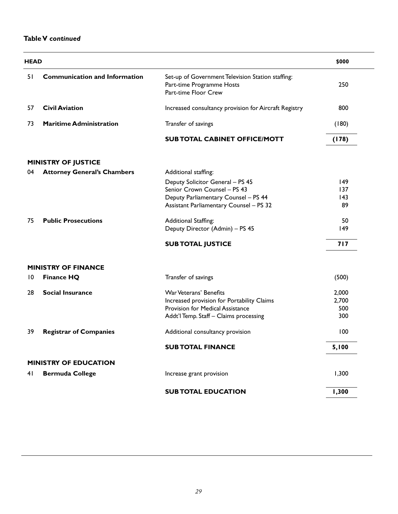#### **Table V** *continued*

| <b>HEAD</b> |                                      |                                                                                                        | \$000 |
|-------------|--------------------------------------|--------------------------------------------------------------------------------------------------------|-------|
| 51          | <b>Communication and Information</b> | Set-up of Government Television Station staffing:<br>Part-time Programme Hosts<br>Part-time Floor Crew | 250   |
| 57          | <b>Civil Aviation</b>                | Increased consultancy provision for Aircraft Registry                                                  | 800   |
| 73          | <b>Maritime Administration</b>       | Transfer of savings                                                                                    | (180) |
|             |                                      | <b>SUB TOTAL CABINET OFFICE/MOTT</b>                                                                   | (178) |
|             | <b>MINISTRY OF JUSTICE</b>           |                                                                                                        |       |
| 04          | <b>Attorney General's Chambers</b>   | Additional staffing:                                                                                   |       |
|             |                                      | Deputy Solicitor General - PS 45                                                                       | 149   |
|             |                                      | Senior Crown Counsel - PS 43                                                                           | 137   |
|             |                                      | Deputy Parliamentary Counsel - PS 44                                                                   | 143   |
|             |                                      | <b>Assistant Parliamentary Counsel - PS 32</b>                                                         | 89    |
| 75          | <b>Public Prosecutions</b>           | Additional Staffing:                                                                                   | 50    |
|             |                                      | Deputy Director (Admin) - PS 45                                                                        | 149   |
|             |                                      | <b>SUB TOTAL JUSTICE</b>                                                                               | 717   |
|             | <b>MINISTRY OF FINANCE</b>           |                                                                                                        |       |
| 10          | <b>Finance HQ</b>                    | Transfer of savings                                                                                    | (500) |
| 28          | <b>Social Insurance</b>              | War Veterans' Benefits                                                                                 | 2,000 |
|             |                                      | Increased provision for Portability Claims                                                             | 2,700 |
|             |                                      | Provision for Medical Assistance                                                                       | 500   |
|             |                                      | Addt'l Temp. Staff - Claims processing                                                                 | 300   |
| 39          | <b>Registrar of Companies</b>        | Additional consultancy provision                                                                       | 100   |
|             |                                      | <b>SUB TOTAL FINANCE</b>                                                                               | 5,100 |
|             | <b>MINISTRY OF EDUCATION</b>         |                                                                                                        |       |
| 41          | <b>Bermuda College</b>               | Increase grant provision                                                                               | 1,300 |
|             |                                      | <b>SUB TOTAL EDUCATION</b>                                                                             | 1,300 |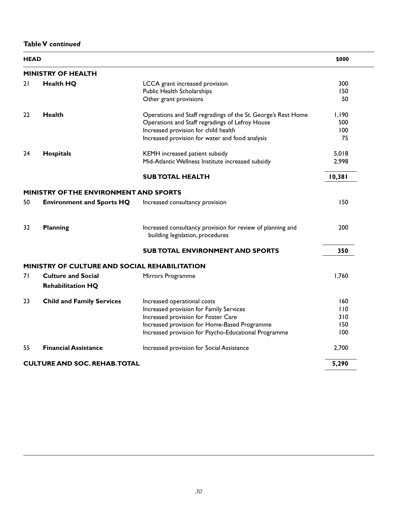**Table V** *continued*

| <b>HEAD</b> |                                                      |                                                                                                | \$000  |
|-------------|------------------------------------------------------|------------------------------------------------------------------------------------------------|--------|
|             | <b>MINISTRY OF HEALTH</b>                            |                                                                                                |        |
| 21          | <b>Health HQ</b>                                     | LCCA grant increased provision                                                                 | 300    |
|             |                                                      | Public Health Scholarships                                                                     | 150    |
|             |                                                      | Other grant provisions                                                                         | 50     |
| 22          | <b>Health</b>                                        | Operations and Staff regradings of the St. George's Rest Home                                  | 1,190  |
|             |                                                      | Operations and Staff regradings of Lefroy House                                                | 500    |
|             |                                                      | Increased provision for child health                                                           | 100    |
|             |                                                      | Increased provision for water and food analysis                                                | 75     |
| 24          | <b>Hospitals</b>                                     | KEMH increased patient subsidy                                                                 | 5,018  |
|             |                                                      | Mid-Atlantic Wellness Institute increased subsidy                                              | 2,998  |
|             |                                                      | <b>SUB TOTAL HEALTH</b>                                                                        | 10,381 |
|             | <b>MINISTRY OF THE ENVIRONMENT AND SPORTS</b>        |                                                                                                |        |
| 50          | <b>Environment and Sports HQ</b>                     | Increased consultancy provision                                                                | 150    |
| 32          | <b>Planning</b>                                      | Increased consultancy provision for review of planning and<br>building legislation, procedures | 200    |
|             |                                                      | <b>SUB TOTAL ENVIRONMENT AND SPORTS</b>                                                        | 350    |
|             | <b>MINISTRY OF CULTURE AND SOCIAL REHABILITATION</b> |                                                                                                |        |
| 71          | <b>Culture and Social</b>                            | Mirrors Programme                                                                              | 1,760  |
|             | <b>Rehabilitation HQ</b>                             |                                                                                                |        |
| 23          | <b>Child and Family Services</b>                     | Increased operational costs                                                                    | 160    |
|             |                                                      | Increased provision for Family Services                                                        | 110    |
|             |                                                      | Increased provision for Foster Care                                                            | 310    |
|             |                                                      | Increased provision for Home-Based Programme                                                   | 150    |
|             |                                                      | Increased provision for Psycho-Educational Programme                                           | 100    |
| 55          | <b>Financial Assistance</b>                          | Increased provision for Social Assistance                                                      | 2,700  |
|             | <b>CULTURE AND SOC. REHAB. TOTAL</b>                 |                                                                                                | 5,290  |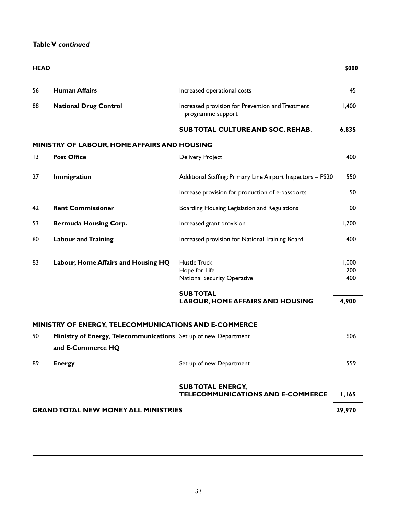#### **Table V** *continued*

| <b>HEAD</b>     |                                                                                      |                                                                       | \$000  |
|-----------------|--------------------------------------------------------------------------------------|-----------------------------------------------------------------------|--------|
| 56              | <b>Human Affairs</b>                                                                 | Increased operational costs                                           | 45     |
| 88              | <b>National Drug Control</b>                                                         | Increased provision for Prevention and Treatment<br>programme support | 1,400  |
|                 |                                                                                      | <b>SUB TOTAL CULTURE AND SOC. REHAB.</b>                              | 6,835  |
|                 | MINISTRY OF LABOUR, HOME AFFAIRS AND HOUSING                                         |                                                                       |        |
| $\overline{13}$ | <b>Post Office</b>                                                                   | <b>Delivery Project</b>                                               | 400    |
| 27              | <b>Immigration</b>                                                                   | Additional Staffing: Primary Line Airport Inspectors - PS20           | 550    |
|                 |                                                                                      | Increase provision for production of e-passports                      | 150    |
| 42              | <b>Rent Commissioner</b>                                                             | Boarding Housing Legislation and Regulations                          | 100    |
| 53              | <b>Bermuda Housing Corp.</b>                                                         | Increased grant provision                                             | 1,700  |
| 60              | <b>Labour and Training</b>                                                           | Increased provision for National Training Board                       | 400    |
| 83              | Labour, Home Affairs and Housing HQ                                                  | Hustle Truck                                                          | 1,000  |
|                 |                                                                                      | Hope for Life                                                         | 200    |
|                 |                                                                                      | <b>National Security Operative</b>                                    | 400    |
|                 |                                                                                      | <b>SUB TOTAL</b>                                                      |        |
|                 |                                                                                      | <b>LABOUR, HOME AFFAIRS AND HOUSING</b>                               | 4,900  |
|                 | MINISTRY OF ENERGY, TELECOMMUNICATIONS AND E-COMMERCE                                |                                                                       |        |
| 90              | Ministry of Energy, Telecommunications Set up of new Department<br>and E-Commerce HQ |                                                                       | 606    |
| 89              | <b>Energy</b>                                                                        | Set up of new Department                                              | 559    |
|                 |                                                                                      | <b>SUB TOTAL ENERGY,</b>                                              |        |
|                 |                                                                                      | <b>TELECOMMUNICATIONS AND E-COMMERCE</b>                              | 1,165  |
|                 | <b>GRAND TOTAL NEW MONEY ALL MINISTRIES</b>                                          |                                                                       | 29,970 |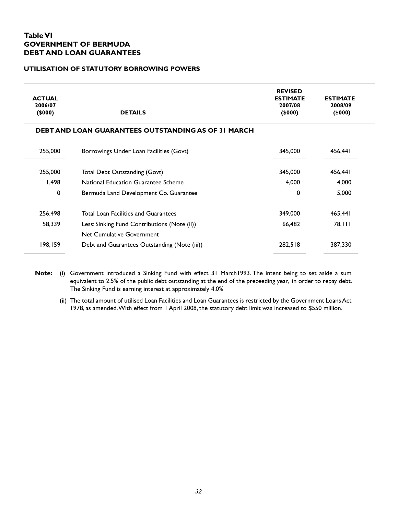#### **Table VI GOVERNMENT OF BERMUDA DEBT AND LOAN GUARANTEES**

#### **UTILISATION OF STATUTORY BORROWING POWERS**

| <b>ACTUAL</b><br>2006/07<br>(5000) | <b>DETAILS</b>                                             | <b>REVISED</b><br><b>ESTIMATE</b><br>2007/08<br>(5000) | <b>ESTIMATE</b><br>2008/09<br>(5000) |
|------------------------------------|------------------------------------------------------------|--------------------------------------------------------|--------------------------------------|
|                                    | <b>DEBT AND LOAN GUARANTEES OUTSTANDING AS OF 31 MARCH</b> |                                                        |                                      |
| 255,000                            | Borrowings Under Loan Facilities (Govt)                    | 345,000                                                | 456,441                              |
| 255,000                            | Total Debt Outstanding (Govt)                              | 345,000                                                | 456,441                              |
| 1.498                              | National Education Guarantee Scheme                        | 4,000                                                  | 4,000                                |
| 0                                  | Bermuda Land Development Co. Guarantee                     | $\Omega$                                               | 5,000                                |
| 256,498                            | <b>Total Loan Facilities and Guarantees</b>                | 349,000                                                | 465,441                              |
| 58,339                             | Less: Sinking Fund Contributions (Note (ii))               | 66,482                                                 | 78,111                               |
|                                    | Net Cumulative Government                                  |                                                        |                                      |
| 198,159                            | Debt and Guarantees Outstanding (Note (iii))               | 282,518                                                | 387,330                              |

**Note:** (i) Government introduced a Sinking Fund with effect 31 March1993. The intent being to set aside a sum equivalent to 2.5% of the public debt outstanding at the end of the preceeding year, in order to repay debt. The Sinking Fund is earning interest at approximately 4.0%

(ii) The total amount of utilised Loan Facilities and Loan Guarantees is restricted by the Government Loans Act 1978, as amended. With effect from 1 April 2008, the statutory debt limit was increased to \$550 million.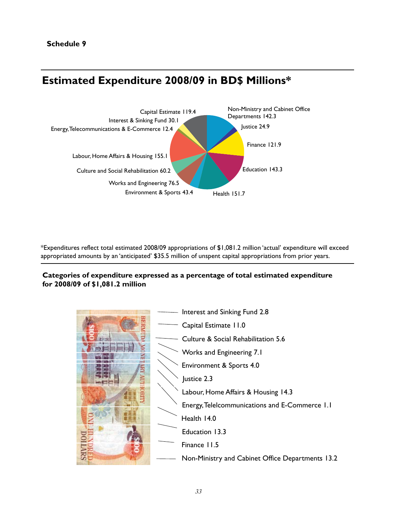## **Estimated Expenditure 2008/09 in BD\$ Millions\***



\*Expenditures reflect total estimated 2008/09 appropriations of \$1,081.2 million 'actual' expenditure will exceed appropriated amounts by an 'anticipated' \$35.5 million of unspent capital appropriations from prior years.

#### **Categories of expenditure expressed as a percentage of total estimated expenditure for 2008/09 of \$1,081.2 million**